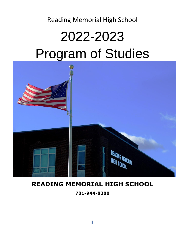## Reading Memorial High School

# 2022-2023 Program of Studies



## **READING MEMORIAL HIGH SCHOOL**

**781-944-8200**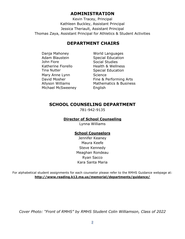## **ADMINISTRATION**

Kevin Tracey, Principal Kathleen Buckley, Assistant Principal Jessica Theriault, Assistant Principal Thomas Zaya, Assistant Principal for Athletics & Student Activities

## **DEPARTMENT CHAIRS**

Danja Mahoney World Languages Adam Blaustein Special Education John Fiore Social Studies Katherine Fiorello **Health & Wellness** Tina Nutter Special Education Mary Anne Lynn Science Michael McSweeney **English** 

David Mosher Fine & Performing Arts Allyson Williams Mathematics & Business

## **SCHOOL COUNSELING DEPARTMENT**

781-942-9135

## **Director of School Counseling**

Lynna Williams

## **School Counselors**

Jennifer Keaney Maura Keefe Steve Kennedy Meaghan Rondeau Ryan Sacco Kara Santa Maria

For alphabetical student assignments for each counselor please refer to the RMHS Guidance webpage at[:](https://www.edline.net/pages/Reading_HS/Guidance) **http://www.reading.k12.ma.us/memorial/departments/guidance/**

*Cover Photo: "Front of RMHS" by RMHS Student Colin Williamson, Class of 2022*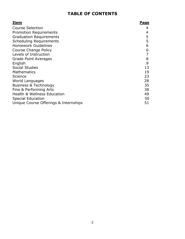## **TABLE OF CONTENTS**

| <u>Item</u>                            | <b>Page</b> |
|----------------------------------------|-------------|
| <b>Course Selection</b>                | 4           |
| <b>Promotion Requirements</b>          | 4           |
| <b>Graduation Requirements</b>         | 5           |
| <b>Scheduling Requirements</b>         | 5           |
| <b>Homework Guidelines</b>             | 6           |
| <b>Course Change Policy</b>            | 6           |
| Levels of Instruction                  |             |
| <b>Grade Point Averages</b>            | 8           |
| English                                | 9           |
| <b>Social Studies</b>                  | 13          |
| <b>Mathematics</b>                     | 19          |
| Science                                | 23          |
| World Languages                        | 28          |
| <b>Business &amp; Technology</b>       | 35          |
| Fine & Performing Arts                 | 38          |
| <b>Health &amp; Wellness Education</b> | 49          |
| <b>Special Education</b>               | 50          |
| Unique Course Offerings & Internships  | 51          |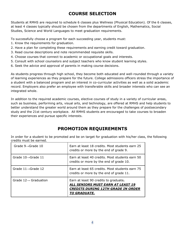## **COURSE SELECTION**

Students at RMHS are required to schedule 6 classes plus Wellness (Physical Education). Of the 6 classes, at least 4 classes typically should be chosen from the departments of English, Mathematics, Social Studies, Science and World Languages to meet graduation requirements.

To successfully choose a program for each succeeding year, students must:

- 1. Know the requirements for graduation.
- 2. Have a plan for completing these requirements and earning credit toward graduation.
- 3. Read course descriptions and note recommended requisite skills.
- 4. Choose courses that connect to academic or occupational goals and interests.
- 5. Consult with school counselors and subject teachers who know student learning styles.
- 6. Seek the advice and approval of parents in making course decisions.

As students progress through high school, they become both educated and well-rounded through a variety of learning experiences as they prepare for the future. College admissions officers stress the importance of a student with a balanced program and an interest in co-curricular activities as well as a solid academic record. Employers also prefer an employee with transferable skills and broader interests who can see an integrated whole.

In addition to the required academic courses, elective courses of study in a variety of curricular areas, such as business, performing arts, visual arts, and technology, are offered at RMHS and help students to better understand the greater world around them as they prepare for the challenges of postsecondary study and the 21st century workplace. All RMHS students are encouraged to take courses to broaden their experiences and pursue specific interests.

## **PROMOTION REQUIREMENTS**

In order for a student to be promoted and be on target for graduation with his/her class, the following credits must be earned.

| Grade $9 \rightarrow$ Grade 10    | Earn at least 18 credits. Most students earn 25<br>credits or more by the end of grade 9.                                                                    |
|-----------------------------------|--------------------------------------------------------------------------------------------------------------------------------------------------------------|
| Grade $10 \rightarrow$ Grade 11   | Earn at least 40 credits. Most students earn 50<br>credits or more by the end of grade 10.                                                                   |
| Grade $11 \rightarrow$ Grade 12   | Earn at least 65 credits. Most students earn 75<br>credits or more by the end of grade 11.                                                                   |
| Grade $12 \rightarrow$ Graduation | Earn at least 90 credits to graduate.<br><b>ALL SENIORS MUST EARN AT LEAST 19</b><br><b>CREDITS DURING 12TH GRADE IN ORDER</b><br><i><b>TO GRADUATE.</b></i> |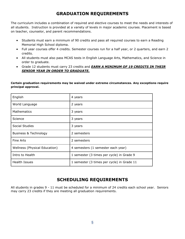## **GRADUATION REQUIREMENTS**

The curriculum includes a combination of required and elective courses to meet the needs and interests of all students. Instruction is provided at a variety of levels in major academic courses. Placement is based on teacher, counselor, and parent recommendations.

- Students must earn a minimum of 90 credits and pass all required courses to earn a Reading Memorial High School diploma.
- Full year courses offer 4 credits. Semester courses run for a half year, or 2 quarters, and earn 2 credits.
- All students must also pass MCAS tests in English Language Arts, Mathematics, and Science in order to graduate.
- Grade 12 students must carry 23 credits and *EARN A MINIMUM OF 19 CREDITS IN THEIR SENIOR YEAR IN ORDER TO GRADUATE.*

**Certain graduation requirements may be waived under extreme circumstances. Any exceptions require principal approval.**

| English                          | 4 years                                    |
|----------------------------------|--------------------------------------------|
| World Language                   | 2 years                                    |
| Mathematics                      | 3 years                                    |
| Science                          | 3 years                                    |
| Social Studies                   | 3 years                                    |
| <b>Business &amp; Technology</b> | 2 semesters                                |
| Fine Arts                        | 2 semesters                                |
| Wellness (Physical Education)    | 4 semesters (1 semester each year)         |
| Intro to Health                  | 1 semester (3 times per cycle) in Grade 9  |
| Health Issues                    | 1 semester (3 times per cycle) in Grade 11 |

## **SCHEDULING REQUIREMENTS**

All students in grades 9 - 11 must be scheduled for a minimum of 24 credits each school year. Seniors may carry 23 credits if they are meeting all graduation requirements.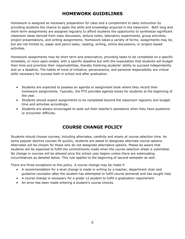## **HOMEWORK GUIDELINES**

Homework is assigned as necessary preparation for class and a complement to daily instruction by providing students the chance to apply the skills and knowledge acquired in the classroom. Both long and short-term assignments are assigned regularly to afford students the opportunity to synthesize significant classroom ideas derived from class discussion, lecture notes, laboratory experiments, group activities, project presentations, and writing assignments. Homework takes a variety of forms; assignments may be, but are not limited to, paper and pencil tasks, reading, writing, online discussions, or project-based activities.

Homework assignments may be short term and prescriptive, providing tasks to be completed on a specific timetable, or more open-ended, with a specific deadline but with the expectation that students will budget their time and prioritize their responsibilities, thereby fostering students' ability to succeed independently and on a deadline. The habits of mind of initiative, perseverance, and personal responsibility are critical skills necessary for success both in school and after graduation.

- Students are expected to possess an agenda or assignment book where they record their homework assignments. Typically, the PTO provides agenda books for students at the beginning of the year.
- Students should expect assignments to be completed beyond the classroom regularly and budget time and activities accordingly.
- Students are always encouraged to seek out their teacher's assistance when they have questions or encounter difficulty.

## **COURSE CHANGE POLICY**

Students should choose courses, including alternates, carefully and wisely at course selection time. As some popular elective courses fill quickly, students are asked to designate alternate course options. Alternates will be chosen for those who do not designate alternative options. Please be aware that students will be expected to fulfill the commitments made when the course selection sheet is submitted. No change in courses will be allowed once the school year begins unless there are extenuating circumstances as detailed below. This rule applies to the beginning of second semester as well.

There are three exceptions to this policy. A course change may be made if:

- A recommendation for a level change is made in writing by a teacher, department chair and guidance counselor after the student has attempted to fulfill course demands and has sought help
- A course change is necessary for a grade 12 student to fulfill a graduation requirement
- An error has been made entering a student's course choices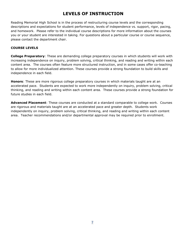## **LEVELS OF INSTRUCTION**

Reading Memorial High School is in the process of restructuring course levels and the corresponding descriptions and expectations for student performance, levels of independence vs. support, rigor, pacing, and homework. Please refer to the individual course descriptions for more information about the courses you or your student are interested in taking. For questions about a particular course or course sequence, please contact the department chair.

## **COURSE LEVELS**

**College Preparatory**: These are demanding college preparatory courses in which students will work with increasing independence on inquiry, problem solving, critical thinking, and reading and writing within each content area. The courses often feature more structured instruction, and in some cases offer co-teaching to allow for more individualized attention. These courses provide a strong foundation to build skills and independence in each field.

**Honors**: These are more rigorous college preparatory courses in which materials taught are at an accelerated pace. Students are expected to work more independently on inquiry, problem solving, critical thinking, and reading and writing within each content area. These courses provide a strong foundation for future studies in each field.

**Advanced Placement**: These courses are conducted at a standard comparable to college work. Courses are rigorous and materials taught are at an accelerated pace and greater depth. Students work independently on inquiry, problem solving, critical thinking, and reading and writing within each content area. Teacher recommendations and/or departmental approval may be required prior to enrollment.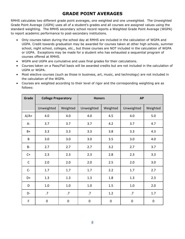## **GRADE POINT AVERAGES**

RMHS calculates two different grade point averages, one weighted and one unweighted. The Unweighted Grade Point Average (UGPA) uses all of a student's grades and all courses are assigned values using the standard weighting. The RMHS secondary school record reports a Weighted Grade Point Average (WGPA) to report academic performance to post-secondary institutions.

- Only courses taken during the school day at RMHS are included in the calculation of WGPA and UGPA. Credit towards graduation may be awarded for courses taken at other high schools, summer school, night school, colleges, etc., but those courses are NOT included in the calculation of WGPA or UGPA. Exceptions may be made for a student who has exhausted a sequential program of courses offered at RMHS.
- WGPA and UGPA are cumulative and uses final grades for their calculations.
- Courses taken on a Pass/Fail basis will be awarded credits but are not included in the calculation of UGPA or WGPA.
- Most elective courses (such as those in business, art, music, and technology) are not included in the calculation of the WGPA.
- Courses are weighted according to their level of rigor and the corresponding weighting are as follows:

| Grade       | <b>College Preparatory</b> |           | <b>Honors</b> |           | <b>AP</b>  |           |
|-------------|----------------------------|-----------|---------------|-----------|------------|-----------|
|             | Unweighted                 | Weighted  | Unweighted    | Weighted  | Unweighted | Weighted  |
| $A/A+$      | 4.0                        | 4.0       | 4.0           | 4.5       | 4.0        | 5.0       |
| $A -$       | 3.7                        | 3.7       | 3.7           | 4.2       | 3.7        | 4.7       |
| $B+$        | 3.3                        | 3.3       | 3.3           | 3.8       | 3.3        | 4.3       |
| B           | 3.0                        | 3.0       | 3.0           | 3.5       | 3.0        | 4.0       |
| <b>B-</b>   | 2.7                        | 2.7       | 2.7           | 3.2       | 2.7        | 3.7       |
| $C+$        | 2.3                        | 2.3       | 2.3           | 2.8       | 2.3        | 3.3       |
| $\mathsf C$ | 2.0                        | 2.0       | 2.0           | 2.5       | 2.0        | 3.0       |
| $C -$       | 1.7                        | 1.7       | 1.7           | 2.2       | 1.7        | 2.7       |
| D+          | 1.3                        | 1.3       | 1.3           | 1.8       | 1.3        | 2.3       |
| D           | $1.0\,$                    | 1.0       | $1.0\,$       | 1.5       | $1.0\,$    | 2.0       |
| D-          | .7                         | .7        | .7            | 1.2       | .7         | 1.7       |
| F           | $\boldsymbol{0}$           | $\pmb{0}$ | $\mathbf 0$   | $\pmb{0}$ | $\pmb{0}$  | $\pmb{0}$ |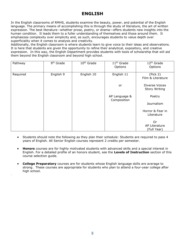## **ENGLISH**

In the English classrooms of RMHS, students examine the beauty, power, and potential of the English language. The primary means of accomplishing this is through the study of literature, the art of written expression. The best literature--whether prose, poetry, or drama—offers students new insights into the human condition. It leads them to a fuller understanding of themselves and those around them. It emphasizes complexity over simplicity and, as such, encourages students to value depth over superficiality when it comes to analysis and creativity.

Additionally, the English classroom is where students learn to give voice to their ideas and observations. It is here that students are given the opportunity to refine their analytical, expository, and creative expression. In this way, the English Department provides students with tools of scholarship that will aid them beyond the English classroom and beyond high school.

| Pathway  | 9 <sup>th</sup> Grade | 10 <sup>th</sup> Grade | 11 <sup>th</sup> Grade<br>Options | 12 <sup>th</sup> Grade<br>Options      |
|----------|-----------------------|------------------------|-----------------------------------|----------------------------------------|
| Required | English 9             | English 10             | English 11                        | (Pick 2)<br>Film & Literature          |
|          |                       |                        | or                                | Diverse Voices<br><b>Story Writing</b> |
|          |                       |                        | AP Language &<br>Composition      | Poetry                                 |
|          |                       |                        |                                   | Journalism                             |
|          |                       |                        |                                   | Horror & Fear in<br>Literature         |
|          |                       |                        |                                   | <b>Or</b>                              |
|          |                       |                        |                                   | AP Literature                          |
|          |                       |                        |                                   | (Full Year)                            |

- Students should note the following as they plan their schedule: Students are required to pass 4 years of English. All Senior English courses represent 2 credits per semester.
- **Honors** courses are for highly motivated students with advanced skills and a special interest in English. For a detailed profile of an honors student, see the **Levels of Instruction** section of this course selection guide.
- **College Preparatory** courses are for students whose English language skills are average to strong. These courses are appropriate for students who plan to attend a four-year college after high school.

·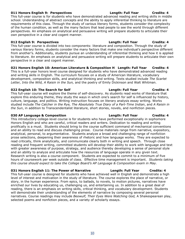## **011 Honors English 9: Perspectives Length: Full Year Credits: 4**

This full-year course is for students who have demonstrated advanced reading and writing skills in middle school. Understanding of abstract concepts and the ability to apply inferential thinking to literature are requirements of this class. Through the study of various literary forms, students consider the complexity of the human condition, as well as the many factors that lead people to see the world through different perspectives. An emphasis on analytical and persuasive writing will prepare students to articulate their own perspective in a clear and cogent manner.

This full-year course is divided into two components: literature and composition. Through the study of various literary forms, students consider the many factors that make one individual's perspective different from another's. Additionally, students pursue an understanding of inferential thinking and how it is applied to literature. An emphasis on analytical and persuasive writing will prepare students to articulate their own perspective in a clear and cogent manner.

## **021 Honors English 10: American Literature & Composition H Length: Full Year Credits: 4**

This is a full-year honors level course designed for students who have demonstrated advanced reading and writing skills in English. The curriculum focuses on a study of American literature, vocabulary development, composition skills, and analytical thinking and writing. Texts studied include *The Scarlet Letter, Into the Wild, A Raisin in the Sun,* and the poetry of Emily Dickinson and Walt Whitman.

## **022 English 10: The Search for Self Length: Full Year Credits: 4**

This full-year course will explore the theme of self-discovery. As students read works of literature that explore this enduring theme, they study the ways in which one's search for self is influenced by history, culture, language, and politics. Writing instruction focuses on literary analysis essay writing. Works studied include *The Catcher in the Rye, The Absolutely True Diary of a Part-Time Indian*, and *A Raisin in the Sun*, in addition to Transcendentalist literature, short stories, novels, and nonfiction pieces.

This introductory college-level course is for students who have performed exceptionally in sophomore Honors English and who are careful, critical readers and writers. Dedication to reading and writing prolifically is a must. Students should bring to the course sufficient command of mechanical conventions and an ability to read and discuss challenging prose. Course materials range from narrative, expository, analytical, personal, to argumentative. Students analyze a broad and challenging range of nonfiction prose selections, deepening their awareness of rhetoric and how language works. They are expected to read critically, think analytically, and communicate clearly both in writing and speech. Through close reading and frequent writing, committed students will develop their ability to work with language and text with greater awareness of purpose, strategy, and audience thereby developing a sense of personal style and an ability to analyze and articulate how the resources of language operate in any given text. Research writing is also a course component. Students are expected to commit to a minimum of five hours of coursework per week outside of class. Effective time management is important. *Students taking this course should expect to take the College Board's AP Language & Composition exam in May.*

## **031 Honors English 11: The Power of Narrative Length: Full Year Credits: 4**

This full-year course is designed for students who have achieved well in English and demonstrate a high level of interest and motivation in the study of literature. The course explores the place of narrative, or story, in the human experience. From epics, to ballads, to novels, to motion pictures, narratives have enriched our lives by educating us, challenging us, and entertaining us. In addition to a great deal of reading, there is an emphasis on writing skills, critical thinking, and vocabulary development. Students will demonstrate their understanding of the elements of narrative by composing several personal narratives. Course readings may include *Beowulf, Their Eyes Were Watching God,* A Shakespearean play, selected poems and nonfiction pieces, and a variety of scholarly essays.

**012 English 9: Perspectives Length: Full Year Credits: 4**

## **030 AP Language & Composition Length: Full Year Credits: 4**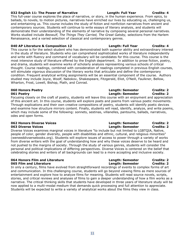## **032 English 11: The Power of Narrative Length: Full Year Credits: 4**

This full-year course explores the place of narrative, or story, in the human experience. From epics, to ballads, to novels, to motion pictures, narratives have enriched our lives by educating us, challenging us, and entertaining us. This course includes the study of fiction and nonfiction narratives from ancient and contemporary sources. Students will continue to write essays of literary analysis, and students will demonstrate their understanding of the elements of narrative by composing several personal narratives. Works studied include *Beowulf, The Things They Carried, The Great Gatsby,* selections from the Harlem Renaissance, and a varied selection of classical and contemporary genres.

### **040 AP Literature & Composition 12 Length: Full Year Credits: 4**

This course is for the select student who has demonstrated both superior ability and extraordinary interest in the study of literature. Students who can comprehend sophisticated works of literature independently and write with fluency and command of vocabulary will be candidates for this course. This course is the most intensive study of literature offered by the English department. In addition to prose fiction, poetry, and drama, students will examine works of scholarly analysis representing various schools of critical thought. Course readings, combined with consideration of readings completed in previous English courses, will stimulate vigorous discussion of the literary works that articulate and define the contemporary condition. Frequent analytical writing assignments will be an essential component of the course. Authors studied may include Joyce, Woolf, Nabokov, Shakespeare, Fitzgerald, Eliot, O'Neill, Faulkner, Bellow, Wharton, Frost, Lowell, Bishop, Plath, and Conrad.

Focusing closely on the craft of poetry, students will leave this course with an enjoyment and appreciation of this ancient art. In this course, students will explore poets and poems from various poetic movements. Through explications and their own creative compositions of poetry, students will identify poetic devices and examine how structure mirrors content. Finally, students will read, identify, analyze, and write poems, which may include some of the following: sonnets, sestinas, villanelles, pantoums, ballads, narratives, odes and open forms.

Diverse Voices examines marginal voices in literature "to include but not limited to LGBTQIA, Native, people of color, gender diversity, people with disabilities and ethnic, cultural, and religious minorities" (weneeddivsersebooks.org). Students will explore issues of access to power through a variety of works from diverse writers with the goal of understanding how and why these voices deserve to be heard and not pushed to the margins of society. Through the study of various genres, students will consider the personal and political implications of differing perspectives. Diverse Voices is centered on the belief that celebrating stories and writers of all backgrounds can lead to a more accepting and inclusive society.

In only a century, films have evolved from straightforward recordings of events to complex forms of art and communication. In this challenging course, students will go beyond viewing films as mere sources of entertainment and explore how to analyze films for meaning. Students will read source novels, scripts, stories, and critical reviews and analyses of films to gain a deeper understanding of how a film works as a narrative. The critical thinking skills that students have developed in three years of literature study will be now applied to a multi-modal medium that demands quick processing and full attention to appreciate. Students will be expected to write a variety of analytical works about the films they view in class.

## **060 Honors Poetry Length: Semester Credits: 2 061 Poetry Length: Semester Credits: 2**

## **062 Honors Diverse Voices Length: Semester Credits: 2 063 Diverse Voices Length: Semester Credits: 2 Length: Semester Credits: 2**

## **064 Honors Film and Literature Length: Semester Credits: 2 065 Film and Literature Length: Semester Credits: 2**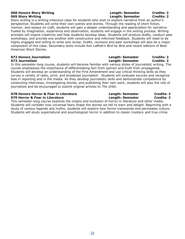Story writing is a writing-intensive class for students who wish to explore narrative from an author's perspective. Students will write their own scenes and stories. Through the reading of short fiction, memoir, and essays on craft, students will gain a deeper understanding and appreciation for narrative. Fueled by imagination, experience and observation, students will engage in the writing process. Writing prompts will inspire creativity and help students develop ideas. Students will produce drafts, conduct peer workshops, and provide one another with constructive and informed feedback. Students will need to be highly engaged and willing to write and revise. Drafts, revisions and peer workshops will also be a major component of this class. Secondary texts include Ann LaMott's *Bird by Bird* and recent editions of Best American Short Stories.

In this semester-long course, students will become familiar with various styles of journalistic writing. The course emphasizes the importance of differentiating fact from opinion and truth from propaganda. Students will develop an understanding of the First Amendment and use critical thinking skills as they survey a variety of radio, print, and broadcast journalism. Students will evaluate sources and recognize bias in reporting and in the media. As they develop journalistic skills and demonstrate competence by conducting interviews, investigating stories, and publishing their own work, students will play the role of journalists and be encouraged to submit original articles to *The Orbit*.

### **078 Honors Horror & Fear in Literature Length: Semester Credits: 2 079 Horror & Fear in Literature Length: Length: Semester Credits: 2**

This semester-long course explores the origins and evolution of horror in literature and other media. Students will consider how universal fears shape the stories we tell to warn and delight. Beginning with a study of various legends and myths, students will explore how horror transcends and permeates culture. Students will study supernatural and psychological horror in addition to classic mystery and true crime.

## **068 Honors Story Writing Length: Semester Credits: 2 069 Story Writing Length: Semester Credits: 2**

**072 Honors Journalism Length: Semester Credits: 2 073 Journalism Length: Semester Credits: 2**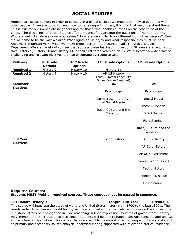## **SOCIAL STUDIES**

Humans are social beings; in order to succeed in a global society, we must learn how to get along with other people. If we are going to know how to get along with others, it is vital that we understand them. This is true for our immediate neighbors and for those who inhabit countries on the other side of the globe. The disciplines of Social Studies offer a means of inquiry into the questions of Human Identity: Who are we? How do we govern ourselves? How are we similar to or different from other peoples? How did we come to be the way we are? What rights do we enjoy and what responsibilities must we bear? And, most importantly: How can we make things better in the years ahead? The Social Studies Department offers a variety of courses that address these fascinating questions. Students are required to take History 9, History 10 and History 11 in their first three years at RMHS. We also offer a wide array of challenging and relevant electives that we encourage everyone to take.

| Pathway                              | 9 <sup>th</sup> Grade | 10 <sup>th</sup> Grade | 11 <sup>th</sup> Grade Options                                            | 12 <sup>th</sup> Grade Options     |
|--------------------------------------|-----------------------|------------------------|---------------------------------------------------------------------------|------------------------------------|
|                                      | <b>Options</b>        | <b>Options</b>         |                                                                           |                                    |
| <b>Required 1</b>                    | History 9             | History 10             | History 11                                                                |                                    |
| <b>Required 2</b>                    | History 9             | History 10             | AP US History<br>(With Summer Edgenuity<br><b>Online Course Required)</b> |                                    |
| <b>Semester</b><br><b>Electives</b>  |                       |                        | Law                                                                       | Law                                |
|                                      |                       |                        | Psychology                                                                | Psychology                         |
|                                      |                       |                        | Democracy in the Age<br>of Social Media                                   | Social Media                       |
|                                      |                       |                        | Race, Culture and the                                                     | WW2 European                       |
|                                      |                       |                        | Classroom                                                                 | <b>WW2 Pacific</b>                 |
|                                      |                       |                        |                                                                           | Field Seminar                      |
|                                      |                       |                        |                                                                           | Race, Culture and the<br>Classroom |
| <b>Full Year</b><br><b>Electives</b> |                       |                        | Facing History                                                            | AP US History                      |
|                                      |                       |                        |                                                                           | AP Euro History                    |
|                                      |                       |                        |                                                                           | AP US Government                   |
|                                      |                       |                        |                                                                           | Honors World Issues                |
|                                      |                       |                        |                                                                           | Facing History                     |
|                                      |                       |                        |                                                                           | Epidemic Disease                   |
|                                      |                       |                        |                                                                           | Field Seminar                      |

## **Required Courses: Students MUST PASS all required courses. These courses must be passed in sequence.**

## **111 Honors History 9 Length: Full Year Credits: 4**

This course will integrate the study of world and United States history from 1700 to the late 1800's. The trends within American and world history will be examined with a particular emphasis on the connections in history. Areas of investigation include reasoning, artistic expression, systems of government, literary movements, and other academic disciplines. Students will be able to handle abstract concepts and analyze and synthesize information. This course places a special focus on historical thinking and literacy skills such as primary and secondary source analysis, analytical writing supported with relevant historical evidence,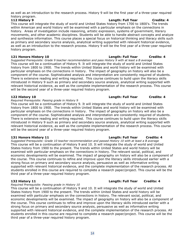as well as an introduction to the research process. History 9 will be the first year of a three-year required history program.

**112 History 9 Length: Full Year Credits: 4** This course will integrate the study of world and United States history from 1700 to 1800's. The trends within American and world history will be examined with a particular emphasis on the connections in history. Areas of investigation include reasoning, artistic expression, systems of government, literary movements, and other academic disciplines. Students will be able to handle abstract concepts and analyze and synthesize information. This course places a special focus on historical thinking and literacy skills such as primary and secondary source analysis, analytical writing supported with relevant historical evidence, as well as an introduction to the research process. History 9 will be the first year of a three-year required history program.

## **121 Honors History 10 Length: Full Year Credits: 4**

*Suggested Prerequisite: Grade 9 teacher recommendation and pass History 9 with at least a B average* This course will be a continuation of History 9. It will integrate the study of world and United States history from 1800 to 1900. The trends within United States and world history will be examined with particular emphasis on the connections in history. The impact of geography on history will also be a component of the course. Sophisticated analysis and interpretation are consistently required of students. There is extensive reading and writing required. This course continues to build upon the literacy skills introduced in History 9 such as primary and secondary source analysis, analytical writing supported with relevant historical evidence, as well as the complete implementation of the research process. This course will be the second year of a three-year required history program.

## **122 History 10 Length: Full Year Credits: 4**

## *Required Prerequisite: Passing grade in History 9*

This course will be a continuation of History 9. It will integrate the study of world and United States history from 1800 to 1900. The trends within United States and world history will be examined with particular emphasis on the connections in history. The impact of geography on history will also be a component of the course. Sophisticated analysis and interpretation are consistently required of students. There is extensive reading and writing required. This course continues to build upon the literacy skills introduced in History 9 such as primary and secondary source analysis, analytical writing supported with relevant historical evidence, as well as the complete implementation of the research process. This course will be the second year of a three-year required history program.

*Suggested Prerequisite: Grade 10 teacher recommendation and passed History 10 with at least a B average* This course will be a continuation of History 9 and 10. It will integrate the study of world and United States history from 1900 to the present. The trends within United States and world history will be examined with particular emphasis on the connections in history. The relevant social, political, and economic developments will be examined. The impact of geography on history will also be a component of the course. This course continues to refine and improve upon the literacy skills introduced earlier with a strong focus on primary and secondary source analysis, persuasive as well as informative writing supported with relevant historical evidence, and the complete implementation of the research process. All students enrolled in this course are required to complete a research paper/project. This course will be the third year of a three-year required history program.

## *Required Prerequisite: Passing grade in History 10*

This course will be a continuation of History 9 and 10. It will integrate the study of world and United States history from 1900 to the present. The trends within United States and world history will be examined with particular emphasis on the connections in history. The relevant social, political, and economic developments will be examined. The impact of geography on history will also be a component of the course. This course continues to refine and improve upon the literacy skills introduced earlier with a strong focus on primary and secondary source analysis, persuasive as well as informative writing supported with relevant historical evidence, and the complete implementation of the research process. All students enrolled in this course are required to complete a research paper/project. This course will be the third year of a three-year required history program.

## **131 Honors History 11 Length: Full Year Credits: 4**

## **132 History 11 Length: Full Year Credits: 4**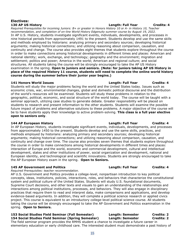## **Electives: 130 AP US History Length: Full Year Credits: 4**

### *Required Prerequisites for incoming Juniors: B+ or greater in Honors History 10 or A- in History 10, Teacher recommendation, and completion of on-line World History Edgenuity summer course by August 19, 2022.* In AP U.S. History, students investigate significant events, individuals, developments, and processes in nine historical periods from approximately 1491 to the present. Students develop and use the same skills and methods employed by historians: analyzing primary and secondary sources; developing historical arguments; making historical connections; and utilizing reasoning about comparison, causation, and continuity and change. The course also provides eight themes that students explore throughout the course in order to make connections among historical developments in different times and places: American and national identity; work, exchange, and technology; geography and the environment; migration and settlement; politics and power; America in the world; American and regional culture; and social structures. All students taking the course will be strongly encouraged to take the AP US History examination in the spring. **Open to juniors and seniors. (Note: for juniors taking AP US History in place of the required History 11 course, students will need to complete the online world history course during the summer before their junior year begins.)**

Students will study the major problems facing the world and the United States today. Issues such as economic crisis, war, environmental changes, global and domestic political discourse and the distribution of the world's resources will be examined. Students will study these problems in relation to the geographic, political, economic, and social structure of the world today. The course will be taught with a seminar approach, utilizing case studies to generate debate. Greater responsibility will be placed on students to research and present information to the other students. Students will examine the possible future impact of problems and alternative solutions to these problems. A major objective of the course will be to have students apply their knowledge to active problem-solving. **This class is a full year elective open to seniors only**.

## **144 AP European History Length: Full Year Credits: 4**

In AP European History, students investigate significant events, individuals, developments, and processes from approximately 1450 to the present. Students develop and use the same skills, practices, and methods employed by historians: analyzing primary and secondary sources; developing historical arguments; making historical connections; and utilizing reasoning about comparison, causation, and continuity and change over time. The course also provides seven themes that students explore throughout the course in order to make connections among historical developments in different times and places: interaction of Europe and the world, economic and commercial development, cultural and intellectual development, states and other institutions of power, social organization and development, national and European identity, and technological and scientific innovations. Students are strongly encouraged to take the AP European History exam in the spring. **Open to Seniors.**

*Required Prerequisites: teacher recommendation.* 

AP U.S. Government and Politics provides a college-level, nonpartisan introduction to key political concepts, ideas, institutions, policies, interactions, roles, and behaviors that characterize the constitutional system and political culture of the United States. Students will study U.S. foundational documents, Supreme Court decisions, and other texts and visuals to gain an understanding of the relationships and interactions among political institutions, processes, and behaviors. They will also engage in disciplinary practices that require them to read and interpret data, make comparisons and applications, and develop evidence-based arguments. In addition, they will complete a political science research or applied civics project. This course is equivalent to an introductory college-level political science course. All students taking the course will be strongly encouraged to take the AP Government and Politics examination in the spring. **Open to Seniors.**

### **153 Social Studies Field Seminar (Fall Semester) Length: Semester Credits: 2 154 Social Studies Field Seminar (Spring Semester) Length: Semester Credits: 2**

The field seminar program provides the RMHS student a chance to investigate a future career in elementary education or early childhood care. The interested student must demonstrate a past history of

**141 Honors World Issues Length: Full Year Credits: 4**

## **145 AP Government and Politics Length: Full Year Credits: 4**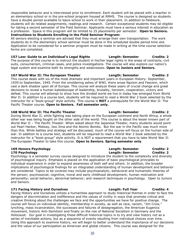responsible behavior and is interviewed prior to enrollment. Each student will be placed with a teacher in an elementary school or in the pre-school program housed at RMHS. The course is designed so students have a double period available to leave school to work in their placement. In addition to fieldwork, students will do related assignments, readings and research. Certain exceptional students may be eligible for taking a second semester of the Field Seminar. Applicants must have a serious interest in education as a profession. Space in this program will be limited to 25 placements per semester. **Open to Seniors.**

## **Instructions to Students Enrolling in the Field Seminar Program:**

All seniors electing a seminar are advised that they must arrange their own transportation. The work students do in the elementary school seminar must be done in the scheduled double period time slot. Application to be considered for a seminar program must be made in writing at the time course selection forms are completed.

## **157 Law: Guide to an Individual's Legal Rights Length: Semester Credits: 2**

The purpose of this course is to instruct the student in his/her legal rights in the areas of contracts, civil suits, consumerism, criminal cases, and police investigations. The course will also explore our nation's legal system and examine both its strengths and weaknesses. **Open to Juniors and Seniors.**

## **167 World War II: The European Theater Length: Semester Credits: 2**

This course deals with six of the most dramatic and important years in European History: September, 1939 to September, 1945. From the smoldering ashes of WWI, there arose Nazism and Fascism, which cast a dark shadow upon all of Europe. This course will analyze these years of crucial change and great decisions to reveal a human kaleidoscope of leadership, brutality, heroism, cooperation, victory and defeat. This course will attempt to show how the divided world we live in today has emerged from World War II. In addition to a course text, students will be required to read a World War 2 book selected by the instructor for a "book-group" style activity. This course is **NOT** a prerequisite for the World War II: The Pacific Theater course. **Open to Seniors. Fall semester only.**

## **168 World War II: The Pacific Theater Length: Semester Credits: 2**

During World War II, while fighting was taking place on the European continent and North Africa, a whole other war was being fought on the other side of the world. This course is about the lesser known part of World War II – The Pacific Theater. When asked about the Japanese Theater, many students would point out Pearl Harbor, Midway, Iwo Jima and the Atomic Bombs. But the war in the Pacific was much more than this. While battles and strategy will be discussed, much of the course will focus on the human side of war. In addition to a course text, students will be required to read a World War 2 book selected by the instructor for a "book-group" style activity. It is NOT a requirement that you have to take World War II: The European Theater to take this course. **Open to Seniors. Spring semester only**.

Psychology is a semester survey course designed to introduce the student to the complexity and diversity of psychological inquiry. Emphasis is placed on the application of basic psychological principles to individual experience in order to expand awareness of both self and others. In addition, the broader implications of psychological findings for an integrated understanding of human development and behavior are considered. Topics to be covered may include psychoanalytic, behavioral and humanistic theories of the person; psychosocial, cognitive, moral and early childhood development; human motivation and personality; social behavior; abnormal behavior; and research techniques in psychology. Open to Juniors and Seniors.

## **171 Facing History and Ourselves Length: Full Year Credits: 4**

Facing History and Ourselves utilizes a humanities approach to study historical themes in order to face the dangers of discrimination and indifference and the values of civility in ways that promote critical and creative thinking about the challenges we face and the opportunities we have for positive change. The course will focus on individual identity, membership in society, as well as race, racism, "Jim Crow," lynching, mass incarceration, the successes and failures of desegregation, the American Eugenics movement, historic Anti-Semitism and finally on the rise of National Socialism in Germany and the Holocaust. Our goal in investigating these difficult historical topics is to try and view history not as a series of inevitable actions, but as a sequence of events resulting from individual choices over time. Using this approach to examine history, we will begin to better understand the importance of our decisions and the value of our participation as American and global citizens. This course was designed for the

### **169 Honors Psychology Length: Semester Credits: 2 170 Psychology Length: Semester Credits: 2**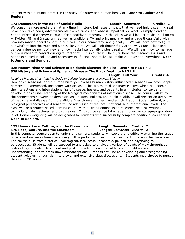student with a genuine interest in the study of history and human behavior. **Open to Juniors and Seniors.** 

## **173 Democracy in the Age of Social Media Length: Semester Credits: 2**

We consume more media than at any time in history, but research show that we need help discerning real news from fake news, advertisements from articles, and what is important vs. what is simply trending. Yet an informed citizenry is crucial for a healthy democracy. In this class we will look at media in all forms -- Twitter, FB, and Instagram, as well as traditional TV and print media -- and engage thoughtfully with how information operates both in our lives, in our democracy, and globally. We will learn how to figure out who's telling the truth and who is likely not. We will look thoughtfully at the ways race, class and gender influence point of view and how media intentionally distorts reality. We will learn how to manage our own media to control our digital footprint. This course will help you hone the research skills and habits expected in college and necessary in life and--hopefully--will make you question everything. **Open to Juniors and Seniors.**

### **328 Honors History and Science of Epidemic Disease: The Black Death to H1N1 Flu 329 History and Science of Epidemic Disease: The Black Death to H1N1 Flu Length: Full Year Credits: 4**

*Required Prerequisites: Passing Grade in College Preparatory or Honors Biology* How has disease influenced human history? How has human history influenced disease? How have people perceived, experienced, and coped with disease? This is a multi-disciplinary elective which will examine the interactions and interrelationships of disease, healers, and patients in an historical context and develop a basic understanding of the biological mechanisms of infectious disease. The course will study the connections between epidemic disease, history, politics, and public health. It will present an overview of medicine and disease from the Middle Ages through modern western civilization. Social, cultural, and biological perspectives of disease will be addressed at the local, national, and international levels. The class will be a project-based learning course with a strong emphasis on research, reading, writing, technology, labs, lectures, and discussions. This course can be taken at an honors or college-preparatory level. Honors weighting will be designated for students who successfully complete additional coursework. **Open to Seniors.**

## **175 Honors Race, Culture, and the Classroom Length: Semester Credits: 2 176 Race, Culture, and the Classroom Length: Semester Credits: 2**

In this semester course open to juniors and seniors, students will explore and critically examine the issues of race and racism in American society with a particular focus on the treatment of race in the classroom. The course pulls from historical, sociological, intellectual, economic, political and psychological perspectives. Students will be exposed to and asked to analyze a variety of points of view throughout history to give context to current and past race relations and racial biases, to build a sense of understanding, and to break down misconceptions. Emphasis will be on developing and strengthening student voice using journals, interviews, and extensive class discussions. Students may choose to pursue Honors or CP weighting.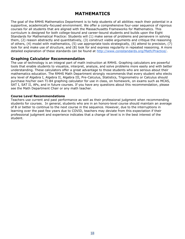## **MATHEMATICS**

The goal of the RMHS Mathematics Department is to help students of all abilities reach their potential in a supportive, academically-focused environment. We offer a comprehensive four-year sequence of rigorous courses for all students that are aligned with the Massachusetts Frameworks for Mathematics. This curriculum is designed for both college-bound and career-bound students and builds upon the Eight Standards for Mathematical Practice: Students will (1) make sense of problems and persevere in solving them, (2) reason abstractly and quantitatively, (3) construct viable arguments and critique the reasoning of others, (4) model with mathematics, (5) use appropriate tools strategically, (6) attend to precision, (7) look for and make use of structure, and (8) look for and express regularity in repeated reasoning. A more detailed explanation of these standards can be found at [http://www.corestandards.org/Math/Practice/.](http://www.corestandards.org/Math/Practice/)

## **Graphing Calculator Recommendation**

The use of technology is an integral part of math instruction at RMHS. Graphing calculators are powerful tools that enable students to visualize, interpret, analyze, and solve problems more easily and with better understanding. These calculators offer a great advantage to those students who are serious about their mathematics education. The RMHS Math Department strongly recommends that every student who elects any level of Algebra I, Algebra II, Algebra III, Pre-Calculus, Statistics, Trigonometry or Calculus should purchase his/her own TI-84 graphing calculator for use in class, on homework, on exams such as MCAS, SAT I, SAT II, APs, and in future courses. If you have any questions about this recommendation, please see the Math Department Chair or any math teacher.

## **Course Level Recommendations**

Teachers use current and past performance as well as their professional judgment when recommending students for courses. In general, students who are in an honors-level course should maintain an average of B or better to continue to the next course in the sequence. However, due to the interruptions in learning over the past few years due to COVID, teachers may deviate from this expectation if their professional judgment and experience indicates that a change of level is in the best interest of the student.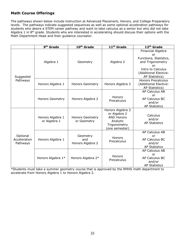## **Math Course Offerings**

The pathways shown below include instruction at Advanced Placement, Honors, and College Preparatory levels. The pathways indicate suggested sequences as well as some optional acceleration pathways for students who desire a STEM career pathway and want to take calculus as a senior but who did not take Algebra 1 in 8<sup>th</sup> grade. Students who are interested in accelerating should discuss their options with the Math Department Head and their guidance counselor.

|                                      | 9 <sup>th</sup> Grade            | 10 <sup>th</sup> Grade                | 11 <sup>th</sup> Grade                                                                              | 12 <sup>th</sup> Grade                                                                                                                             |
|--------------------------------------|----------------------------------|---------------------------------------|-----------------------------------------------------------------------------------------------------|----------------------------------------------------------------------------------------------------------------------------------------------------|
| Suggested                            | Algebra 1                        | Geometry                              | Algebra 2                                                                                           | Financial Algebra<br>or<br>Functions, Statistics,<br>and Trigonometry<br>or<br><b>Intro to Calculus</b><br>(Additional Elective:<br>AP Statistics) |
| Pathways                             | Honors Algebra 1                 | Honors Geometry                       | Honors Algebra 2                                                                                    | <b>Honors Precalculus</b><br>(Additional Elective:<br>AP Statistics)                                                                               |
|                                      | <b>Honors Geometry</b>           | Honors Algebra 2                      | Honors<br>Precalculus                                                                               | AP Calculus AB<br>or<br>AP Calculus BC<br>and/or<br><b>AP Statistics</b>                                                                           |
|                                      | Honors Algebra 1<br>or Algebra 1 | <b>Honors Geometry</b><br>or Geometry | Honors Algebra 2<br>or Algebra 2<br><b>AND Honors</b><br>Analytic<br>Trigonometry<br>(one semester) | Calculus<br>and/or<br><b>AP Statistics</b>                                                                                                         |
| Optional<br>Acceleration<br>Pathways | Honors Algebra 1                 | Geometry<br>and<br>Honors Algebra 2   | Honors<br>Precalculus                                                                               | <b>AP Calculus AB</b><br>or<br>AP Calculus BC<br>and/or<br><b>AP Statistics</b>                                                                    |
|                                      | Honors Algebra 1*                | Honors Algebra 2*                     | Honors<br>Precalculus                                                                               | <b>AP Calculus AB</b><br>or<br>AP Calculus BC<br>and/or<br><b>AP Statistics</b>                                                                    |

\*Students must take a summer geometry course that is approved by the RMHS math department to accelerate from Honors Algebra 1 to Honors Algebra 2.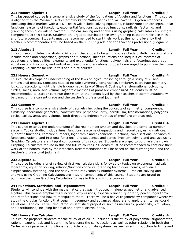This fast-paced course is a comprehensive study of the foundations of Algebra and functions. This course is aligned with the Massachusetts Frameworks for Mathematics and will cover all Algebra standards (including those marked with  $a +$ ). Topics will include solving equations, relation/function concepts, linear functions, systems of functions, exponential functions, quadratic functions, radicals, factoring, and graphing techniques will be covered. Problem-solving and analysis using graphing calculators are integral components of this course. Students are urged to purchase their own graphing calculators for use in this and future courses. Students must be recommended to start their work at the honors level by their teacher. Recommendations will be based on the current grade and the teacher's professional judgment.

## **212 Algebra I Length: Full Year Credits: 4**

This course completes the study of Algebra I that students began in course Grade 8 Math. Topics of study include ratios and proportions, graphs and functions, linear equations and inequalities, systems of equations and inequalities, exponents and exponential functions, polynomials and factoring, quadratic equations and functions, and radical expressions and equations. Students are urged to purchase their own Graphing Calculator for use in this and future courses.

## **221 Honors Geometry Length: Full Year Credits: 4**

This course develops an understanding of the laws of logical reasoning through a study of 2- and 3 dimensional objects. Concepts studied include symmetry, congruence, similarity, coordinate geometry, logic, constructions, right triangle trigonometry, Law of Sines & Cosines, transformations, polygons, circles, solids, area, and volume. Algebraic methods of proof are emphasized. Students must be recommended to start or continue their work at the honors level by their teacher. Recommendations will be based on the current grade and the teacher's professional judgment.

This course is a comprehensive study of geometry including the concepts of symmetry, congruence, similarity, coordinate geometry, constructions, perpendicularity, parallelism, transformations, polygons, circles, solids, area, and volume. Both direct and indirect methods of proof are emphasized.

## **231 Honors Algebra II Length: Full Year Credits: 4**

This course extends the understanding of the real number system and develops the complex number system. Topics studied include linear functions, systems of equations and inequalities, using matrices, quadratic functions, complex numbers, logarithmic and exponential functions, conic sections, polynomial functions, rational and irrational functions, and sequences and series. Problem-solving and analysis using Graphing Calculators are integral components of this course. Students are urged to purchase their own Graphing Calculators for use in this and future courses. Students must be recommended to continue their work at the honors level by their teacher. Recommendations will be based on the current grade and the teacher's professional judgment.

This course includes a brief review of first year algebra skills followed by topics on exponents, radicals, logarithms, equation solving, relation/function concepts, graphing techniques, conics, sequence, simplification, factoring, and the study of the real/complex number systems. Problem-solving and analysis using Graphing Calculators are integral components of this course. Students are urged to purchase their own Graphing Calculators for use in this and future courses.

## **244 Functions, Statistics, and Trigonometry Length: Full Year Credits: 4**

Students will continue with the mathematics that was introduced in algebra, geometry, and advanced algebra. This course emphasizes functional expressions; especially linear, quadratic, power, logarithmic, and root functions and how to manipulate them. There will be a heavy trigonometry component where we study the circular functions that began in geometry and advanced algebra and apply them to real-world situations. The course will also introduce statistical properties such as measures, probability, simulation, and distributions, including binomial and normal distributions.

## **240 Honors Pre-Calculus Length: Full Year Credits: 4**

This course prepares students for the study of calculus. Included is the study of polynomial, trigonometric, rational, exponential, and logarithmic functions; the conic sections as well as other relations in both the Cartesian (as parametric functions), and Polar coordinate systems; as well as an introduction to limits and

## **211 Honors Algebra I Length: Full Year Credits: 4**

## **232 Algebra II Length: Full Year Credits: 4**

**222 Geometry Length: Full Year Credits: 4**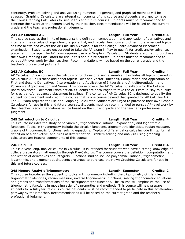continuity. Problem-solving and analysis using numerical, algebraic, and graphical methods will be stressed. Graphing Calculators are integral components of this course and students are urged to have their own Graphing Calculators for use in this and future courses. Students must be recommended to continue their work at the honors level by their teacher. Recommendations will be based on the current grade and the teacher's professional judgment.

This course studies the limits of functions: the definition, computation, and application of derivatives and integrals: the calculus of logarithmic, exponential, and circular functions and other more advanced topics as time allows and covers the AP Calculus AB syllabus for the College Board Advanced Placement examination. Students are encouraged to take the AP exam in May to qualify for credit and/or advanced placement in college. The AP Exam requires use of a Graphing Calculator. Students are urged to purchase their own Graphing Calculators for use in this and future courses. Students must be recommended to pursue AP-level work by their teacher. Recommendations will be based on the current grade and the teacher's professional judgment.

## **242 AP Calculus BC Length: Full Year Credits: 4**

AP Calculus BC is a course in the calculus of functions of a single variable. It includes all topics covered in AP Calculus AB plus these additional topics: Polar and Vector Functions, Computation and Application of First and Second Derivatives, Interpretation and Application of Integrals and Antidifferentiation, and Polynomial Approximation and Series. This course covers the AP Calculus BC syllabus for the College Board Advanced Placement Examination. Students are encouraged to take the AP Exam in May to qualify for credit and/or advanced placement in college. The content of AP Calculus BC is designed to qualify the student for placement and credit in a course that is one course beyond that granted for AP Calculus AB. The AP Exam requires the use of a Graphing Calculator. Students are urged to purchase their own Graphic Calculators for use in this and future courses. Students must be recommended to pursue AP-level work by their teacher. Recommendations will be based on the current grade and the teacher's professional judgment.

This course includes the study of polynomial, trigonometric, rational, exponential, and logarithmic functions. Topics in trigonometry include the circular functions, trigonometric identities, radian measure, graphs of trigonometric functions, solving equations. Topics of differential calculus include limits, formal definition of a derivative, and rules of differentiation. Problem solving and analysis using graphing calculators are integral components of this course.

**246 Calculus Length: Full Year Credits: 4** This is a year-long, non-AP course in Calculus. It is intended for students who have a strong knowledge of college preparatory mathematics through Pre-Calculus. The course covers the definition, computation, and application of derivatives and integrals. Functions studied include polynomial, rational, trigonometric, logarithmic, and exponential. Students are urged to purchase their own Graphing Calculators for use in this and future courses.

## **248 Honors Analytic Trigonometry Length: Semester Credits: 2**

This course introduces the student to topics in trigonometry including the trigonometry of triangles, trigonometric identities, radian measure, inverse trigonometric functions, solving trigonometric equations, and graphs and transformations of the six trigonometric functions. This course will emphasize the use of trigonometric functions in modeling scientific properties and methods. This course will help prepare students for a full year Calculus course. Students must be recommended to participate in this acceleration pathway by their teacher. Recommendations will be based on the current grade and the teacher's professional judgment.

**245 Introduction to Calculus Length: Full Year Credits: 4**

## **241 AP Calculus AB Length: Full Year Credits: 4**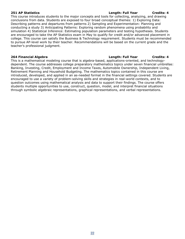## **251 AP Statistics Length: Full Year Credits: 4**

This course introduces students to the major concepts and tools for collecting, analyzing, and drawing conclusions from data. Students are exposed to four broad conceptual themes: 1) Exploring Data: Describing patterns and departures from patterns 2) Sampling and Experimentation: Planning and conducting a study 3) Anticipating Patterns: Exploring random phenomena using probability and simulation 4) Statistical Inference: Estimating population parameters and testing hypotheses. Students are encouraged to take the AP Statistics exam in May to qualify for credit and/or advanced placement in college. This course can satisfy the Business & Technology requirement. Students must be recommended to pursue AP-level work by their teacher. Recommendations will be based on the current grade and the teacher's professional judgment.

**264 Financial Algebra Length: Full Year Credits: 4**

This is a mathematical modeling course that is algebra-based, applications-oriented, and technologydependent. The course addresses college preparatory mathematics topics under seven financial umbrellas: Banking, Investing, Credit, Employment and Income Taxes, Automobile Ownership, Independent Living, Retirement Planning and Household Budgeting. The mathematics topics contained in this course are introduced, developed, and applied in an as-needed format in the financial settings covered. Students are encouraged to use a variety of problem-solving skills and strategies in real-world contexts, and to question outcomes using mathematical analysis and data to support their findings. The course offers students multiple opportunities to use, construct, question, model, and interpret financial situations through symbolic algebraic representations, graphical representations, and verbal representations.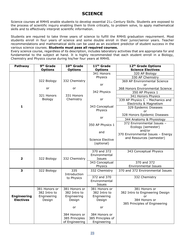## **SCIENCE**

Science courses at RMHS enable students to develop essential 21st Century Skills. Students are exposed to the process of scientific inquiry enabling them to think critically, to problem solve, to apply mathematical skills and to effectively interpret scientific information.

Students are required to take three years of science to fulfill the RMHS graduation requirement. Most students enroll in four years of science and some double enroll in their junior/senior years. Teacher recommendations and mathematical skills can be used as an excellent predictor of student success in the various science courses. **Students must pass all required courses.**

Every science course, regardless of its description, includes laboratory activities that are appropriate for and fundamental to the subject at hand. It is highly recommended that each student enroll in a Biology, Chemistry and Physics course during his/her four years at RMHS.

| Pathway                 | 9 <sup>th</sup> Grade | 10 <sup>th</sup> Grade | 11 <sup>th</sup> Grade  | 12 <sup>th</sup> Grade Options    |
|-------------------------|-----------------------|------------------------|-------------------------|-----------------------------------|
|                         | <b>Options</b>        | <b>Options</b>         | <b>Options</b>          | <b>Science Electives</b>          |
|                         |                       |                        | 341 Honors              | 320 AP Biology                    |
|                         |                       |                        | Physics                 | 330 AP Chemistry                  |
|                         | 322 Biology           | 332 Chemistry          |                         | 369 AP Environmental Science      |
|                         |                       |                        | or                      | or                                |
|                         | or                    | or                     |                         | 368 Honors Environmental Science  |
|                         |                       |                        | 342 Physics             | 350 AP Physics 1                  |
|                         | 321 Honors            | 331 Honors             |                         | 341 Honors Physics                |
|                         | Biology               | Chemistry              | or                      | 339 AP Physics C - Mechanics and  |
|                         |                       |                        |                         | Electricity & Magnetism           |
| $\mathbf{1}$            |                       |                        | 343 Conceptual          | 329 Epidemic Diseases             |
|                         |                       |                        | Physics                 | or                                |
|                         |                       |                        |                         | 328 Honors Epidemic Diseases      |
|                         |                       |                        | or                      | 344 Anatomy & Physiology          |
|                         |                       |                        | 350 AP Physics 1        | 372 Environmental Issues -        |
|                         |                       |                        |                         | Ecology (semester)                |
|                         |                       |                        | and                     | and/or                            |
|                         |                       |                        |                         | 370 Environmental Issues - Energy |
|                         |                       |                        | <b>Science Elective</b> | and Resources (semester)          |
|                         |                       |                        | (optional)              |                                   |
|                         |                       |                        |                         |                                   |
|                         |                       |                        | 370 and 372             | 343 Conceptual Physics            |
|                         |                       |                        | Environmental           |                                   |
| $\overline{\mathbf{2}}$ | 322 Biology           | 332 Chemistry          | Issues                  |                                   |
|                         |                       |                        | 343 Conceptual          | 370 and 372                       |
|                         |                       |                        | Physics                 | <b>Environmental Issues</b>       |
| 3                       | 322 Biology           | 335                    | 332 Chemistry           | 370 and 372 Environmental Issues  |
|                         |                       | Introduction           |                         |                                   |
|                         |                       | to Physics             | 372 and 370             | 332 Chemistry                     |
|                         |                       |                        | Environmental           |                                   |
|                         |                       |                        | Issues                  |                                   |
|                         | 381 Honors or         | 381 Honors or          | 381 Honors or           | 381 Honors or                     |
|                         | 382 Intro to          | 382 Intro to           | 382 Intro to            | 382 Intro to Engineering Design   |
| <b>Engineering</b>      | Engineering           | Engineering            | Engineering             | or                                |
| <b>Electives</b>        | Design                | Design                 | Design                  | 384 Honors or                     |
|                         |                       |                        |                         | 385 Principles of Engineering     |
|                         |                       | or                     | or                      |                                   |
|                         |                       |                        |                         |                                   |
|                         |                       | 384 Honors or          | 384 Honors or           |                                   |
|                         |                       | 385 Principles         | 385 Principles of       |                                   |
|                         |                       | of Engineering         | Engineering             |                                   |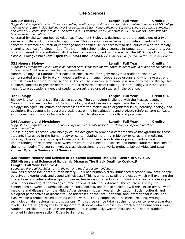## **Life Sciences**

**320 AP Biology Length: Full Year Credits: 4** *Suggested Prerequisite Skills: Students enrolling in AP Biology will have successfully completed one year of HS biology* 

*with an A- or better in 322 Biology or a B or better in 321(H) Honors Biology. Students should also have completed one year of HS chemistry with an A- or better in 332 Chemistry or a B or better in 331 (H) Honors Chemistry and teacher recommendation.*

As stated by the College Board, Advanced Placement Biology is designed to be the equivalent of a twosemester college introductory biology course. This rigorous course "aims to provide students with the conceptual framework, factual knowledge and analytical skills necessary to deal critically with the rapidly changing science of biology." It differs from high school biology courses in range, depth, pace and types of labs covered. In consultation with the teacher, each student will take either the AP Biology Exam or the class AP Biology final exam. **Open to Juniors and Seniors.** *Class meets nine periods in the seven-day cycle.*

## **321 Honors Biology Length: Full Year Credits: 4**

*Suggested Prerequisite Skills: This is an honors class suggested for 9th grade students who in middle school had a B+ in Science and middle school teacher recommendation.*

Honors Biology is a rigorous, fast paced science course for highly motivated students who have demonstrated an ability to work independently and in small, cooperative groups and who have a strong interest in and aptitude for the sciences. The course structure and content is similar to that of Biology but explores concepts in greater depth and requires more abstract thinking. Honors Biology is intended to meet future educational needs of students pursuing advanced studies in the sciences.

## **322 Biology Length: Full Year Credits: 4**

Biology is a comprehensive life science course. The curriculum is aligned with the Massachusetts Curriculum Frameworks for High School Biology and addresses concepts from the four core areas of biology: biological structures and processes from the molecular to organismal level, heredity, ecology and evolution. Engagement in laboratory activities, online investigations and projects reinforce core concepts and present opportunities for students to further develop scientific skills and practices.

## **344 Anatomy and Physiology Length: Full Year Credits: 4**

*Suggested Prerequisite Skills: B- in 322 Biology or successfully passed 321 Honors Biology and teacher recommendation.*

This is a rigorous second year biology course designed to provide a comprehensive background for those students interested in the human body or contemplating majoring in biology or careers in medicine, nursing, physical therapy, or sports medicine. This course strives to develop in students a basic understanding of relationships between structure and function, diseases and homeostatic mechanisms of the human body. The course involves class discussions, group work, projects, lab activities and case studies. **Open to Juniors and Seniors.**

### **328 Honors History and Science of Epidemic Disease: The Black Death to Covid-19 329 History and Science of Epidemic Disease: The Black Death to Covid-19 Length: Full Year Credits: 4**

*Suggested Prerequisite Skills: C+ in Biology and teacher recommendation.* 

How has disease influenced human history? How has human history influenced disease? How have people perceived, experienced, and coped with disease? This is a multidisciplinary elective which will examine the interactions and interrelationships of disease, healers and patients in an historical context and develop a basic understanding of the biological mechanisms of infectious disease. The course will study the connections between epidemic disease, history, politics, and public health. It will present an overview of medicine and disease from the Middle Ages through modern western civilization. Social, cultural, and biological perspectives of disease will be addressed at the local, national, and international levels. The class will be a project-based learning course with a strong emphasis on research, reading, writing, technology, labs, lectures, and discussions. This course can be taken at the honors or college-preparatory levels. Honors weighting will be designated to students who successfully complete additional coursework. Students enrolled in this course are grouped heterogeneously, with Honors and non-honors students enrolled in the same section. **Open to Seniors.**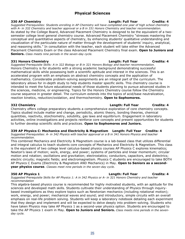## **Physical Sciences**

## **330 AP Chemistry Length: Full Year Credits: 4**

*Suggested Prerequisites: Students enrolling in AP Chemistry will have completed one year of high school chemistry* 

*with A- in 332 Chemistry and teacher approval or a B in 331 Honors Chemistry and teacher recommendation.* As stated by the College Board, Advanced Placement Chemistry is designed to be the equivalent of a twosemester college level general chemistry course. Advanced Placement Chemistry "stresses mastering the conceptual and quantitative aspects of chemistry, by enhancing students' qualitative understanding and visualization of the particulate nature of matter through the development of students' inquiry, analytical, and reasoning skills." In consultation with the teacher, each student will take either the Advanced Placement Chemistry Exam or the class Advanced Placement Chemistry final exam. **Open to Juniors and Seniors.** *Class meets nine periods in the seven-day cycle.*

*Suggested Prerequisite Skills: A in 322 Biology or B in 321 Honors Biology and teacher recommendation.* Honors Chemistry is for students with a strong academic background demonstrating successful mathematical skills while possessing both a scientific aptitude and interest in the sciences. This is an accelerated program with an emphasis on abstract chemistry concepts and the application of mathematics. Considerable problem-solving assignments are an integral part of the curriculum. The laboratory allows for in-depth study to help students master specific skills. This chemistry course is intended to meet the future educational needs of those students planning to pursue advanced studies in the sciences, medicine, or engineering. Topics for the Honors Chemistry course follow the Chemistry course sequence in greater detail. The curriculum extends into the topics of acid/base neutralization, reaction kinetics, reduction/oxidation, and thermochemistry. **Open to Sophomores.**

Chemistry offers college preparatory students a comprehensive exploration of core chemistry concepts. Topics studied include matter and change, periodicity, atomic theory, bonding theories, chemical quantities, reactivity, stoichiometry, solubility, gas laws and equilibrium. Engagement in laboratory activities, online investigations and projects reinforce core concepts and present opportunities for students to further develop scientific skills and practices. **Open to Sophomores and Juniors.**

## **339 AP Physics C: Mechanics and Electricity & Magnetism Length: Full Year Credits: 4**

*Suggested Prerequisites: A- in 342 Physics with teacher approval or a B in 341 Honors Physics and teacher recommendation.*

This combined Mechanics and Electricity & Magnetism course is a lab-based class that utilizes differential and integral calculus to teach students core concepts of Mechanics and Electricity & Magnetism. This class is the equivalent of two college level calculus-based physics courses AP Physics C explores kinematics; Newton's laws of motion; work, energy, and power; systems of particles and linear momentum; circular motion and rotation; oscillations and gravitation; electrostatics; conductors, capacitors, and dielectrics; electric circuits; magnetic fields; and electromagnetism. Physics C students are encouraged to take BOTH AP Physics C Exams (Electricity & Magnetism AND Mechanics) in May. **Open to Seniors as a secondyear physics course**. *Classes meet nine periods in the seven-day cycle.*

## **350 AP Physics 1 Length: Full Year Credits: 4**

*Suggested Prerequisite Skills for AP Physics 1: A in 342 Physics or A- in 321 Honors Chemistry and teacher recommendation*

This algebra-based physics course is recommended for highly motivated students, with an aptitude for the sciences and developed math skills. Students cultivate their understanding of Physics through inquirybased investigations as they explore topics such as Newtonian mechanics (including rotational motion); work, energy, and power; mechanical waves and sound; and introductory, simple circuits with an overall emphasis on real-life problem solving. Students will keep a laboratory notebook detailing each experiment that they design and implement and will be expected to delve deeply into problem-solving. Students who have taken Physics may take AP Physics 1 as a second-year physics option. Students are encouraged to take the AP Physics 1 exam in May. **Open to Juniors and Seniors.** *Class meets nine periods in the sevenday cycle.*

**331 Honors Chemistry Length: Full Year Credits: 4**

### **332 Chemistry Length: Full Year Credits: 4**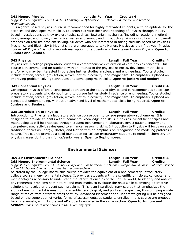## **341 Honors Physics Length: Full Year Credits: 4**

*Suggested Prerequisite Skills: A in 322 Chemistry; or B/better in 321 Honors Chemistry, and teacher recommendation*.

This algebra-based physics course is recommended for highly motivated students, with an aptitude for the sciences and developed math skills. Students cultivate their understanding of Physics through inquirybased investigations as they explore topics such as Newtonian mechanics (including rotational motion); work, energy, and power; mechanical waves and sound; and introductory, simple circuits with an overall emphasis on real-life problem solving. Students who are interested in taking calculus-based AP Physics C: Mechanics and Electricity & Magnetism are encouraged to take Honors Physics as their first-year Physics course. AP Physics 1 is not a second-year option for students who have taken Honors Physics. **Open to Juniors and Seniors.**

## **342 Physics Length: Full Year Credits: 4**

Physics offers college preparatory students a comprehensive exploration of core physics concepts. This course is recommended for students with an interest in the physical sciences, developed math skills and/or who may be interested in pursuing further studies in science and engineering. Topics studied include motion, forces, gravitation, waves, optics, electricity, and magnetism. An emphasis is placed on improving problem solving techniques and developing math skills. **Open to juniors and seniors.**

Conceptual Physics offers a conceptual approach to the study of physics and is recommended to college preparatory students who do not intend to pursue further study in science or engineering. Topics studied include motion, forces, gravitation, waves, optics, electricity, and magnetism. An emphasis is placed on conceptual understanding, without an advanced level of mathematical skills being required. **Open to Juniors and Seniors.**

Introduction to Physics is a laboratory science course open to college preparatory sophomores. It is designed to provide students with fundamental knowledge and skills in physics. Scientific principles and methodologies will be practiced through student involvement in laboratory investigations, inquiry and computer-based activities designed to enhance reasoning skills. Introduction to Physics will focus on such traditional topics as Energy, Matter, and Motion with an emphasis on recognition and modeling patterns in nature. This course provides a solid foundation for college preparatory students to enroll in chemistry or physics classes during their junior/senior years. **Open to Sophomores.**

## **Environmental Sciences**

## **369 AP Environmental Science Length: Full Year Credits: 4 368 Honors Environmental Science Length: Full Year Credits: 4**

*Suggested Prerequisite Skills: A- in 322 Biology or a B or better in 321 Honors Biology. AND A- or in 332 Chemistry or a B in 331 Honors Chemistry and teacher recommendation.*

As stated by the College Board, this course provides the equivalent of a one semester, introductory college course in environmental science. It provides students with the scientific principles, concepts, and methodologies necessary to understand the interrelationships of the natural world, to identify and analyze environmental problems both natural and man-made, to evaluate the risks while examining alternative solutions to resolve or prevent such problems. This is an interdisciplinary course that emphasizes the study of environmental issues from a scientific, sociological, and political perspective, thus unifying a wide range of topics from different areas of study. Advanced Placement and Honors weighting will be assigned based on the completion of varied forms of assessments, as students enrolled in this course are grouped heterogeneously, with Honors and AP students enrolled in the same section. **Open to Juniors and Seniors.** *Class meets nine periods in the seven-day cycle.*

## **343 Conceptual Physics Length: Full Year Credits: 4**

**335 Introduction to Physics Length: Full Year Credits: 4**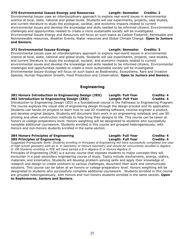## **370 Environmental Issues-Energy and Resources Length: Semester Credits: 2**

Environmental Issues uses an interdisciplinary approach to explore real-world issues in environmental science at local, state, national and global levels. Students will use experiments, projects, case studies, and current literature to study the ecological, societal, and economic impacts related to current environmental issues and develop the knowledge and skills needed to be informed citizens. Environmental challenges and opportunities needed to create a more sustainable society will be investigated. *Environmental Issues-Energy and Resources* will focus on such topics as Carbon Footprint, Renewable and Nonrenewable resources, Weather Events, Water resources and Global Climate Change. **Open to Juniors and Seniors.**

### **372 Environmental Issues-Ecology Length: Semester Credits: 2**

Environmental Issues uses an interdisciplinary approach to explore real-world issues in environmental science at local, state, national and global levels. Students will use experiments, projects, case studies, and current literature to study the ecological, societal, and economic impacts related to current environmental issues and develop the knowledge and skills needed to be informed citizens. Environmental challenges and opportunities needed to create a more sustainable society will be investigated. *Environmental Issues-Ecology* will focus on such topics as Biodiversity, Ecosystems, Rare and Invasive Species, Human Population Growth, Food Production and Conservation. **Open to Juniors and Seniors.**

## **Engineering**

### **381 Honors Introduction to Engineering Design (IED) Length: Full Year Credits: 4 382 Introduction to Engineering Design (IED) Length: Full Year Credits: 4**

Introduction to Engineering Design (IED) is a foundational course in the Pathways to Engineering Program. The course explores the visual side of engineering design through the design process and its application. Students use hands-on projects to learn how to use 3D modeling software, reverse engineer a product, and develop original designs. Students will document their work in an engineering notebook and use 3D printing and other construction methods to help bring their designs to life. This course can be taken at honors or college-preparatory level. Honors weighting will be designated to students who successfully complete additional coursework. Students enrolled in this course are grouped heterogeneously, with Honors and non-honors students enrolled in the same section.

### **384 Honors Principles of Engineering Length: Full Year Credits: 4 385 Principles of Engineering Length: Full Year Credits: 4**

*Suggested Prerequisite Skills: Students enrolling in Principles of Engineering will have successfully completed one year of high school geometry with an A- in Geometry or Honors Geometry and should be concurrently enrolled in Algebra II. OR Students enrolling in POE will have earned a B in Algebra II or Honors Algebra II.* 

Principles of Engineering (POE) is a survey course that exposes students to major concepts they will encounter in a post-secondary engineering course of study. Topics include mechanisms, energy, statics, materials, and kinematics. Students will develop problem-solving skills and apply their knowledge of research and design to create solutions to various challenges, document their work and communicate solutions. This course can be taken at an honors or college-preparatory level. Honors weighting will be designated to students who successfully complete additional coursework. Students enrolled in this course are grouped heterogeneously, with Honors and non-honors students enrolled in the same section. **Open to Sophomores, Juniors and Seniors.**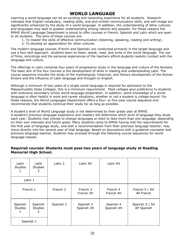## **WORLD LANGUAGE**

Learning a world language can be an exciting and rewarding experience for all students. Research indicates that English vocabulary, reading skills, oral and written communication skills, and self-image are significantly enhanced by the study of a world language. In addition, the understanding of other cultures and languages may lead to greater understanding among nations and peoples. For these reasons the RMHS World Language Department is proud to offer courses in French, Spanish and Latin which are open to all students. The aims of these courses are:

- 1. To master the skills of effective communication (listening, speaking, reading and writing).
- 2. To develop an appreciation for other cultures.

The modern language courses (French and Spanish) are conducted primarily in the target language and use a four-skill approach: students learn to listen, speak, read, and write in the world language. The use of films, recordings and the personal experiences of the teachers afford students realistic contact with the language and culture.

The offerings in Latin comprise four years of progressive study in the language and culture of the Romans. The basic aim of the four courses is the development of skills in reading and understanding Latin. The course sequence includes the study of the mythological, historical, and literary development of the Roman Empire and the influence of Latin language and thought on English.

Although a minimum of two years of a single world language is required for admission to the Massachusetts State Colleges, this is a minimum requirement. Most colleges give preference to students with extensive secondary school world language preparation. In addition, some knowledge of a world language is often helpful in work and career situations, whether or not a student is college-bound. For these reasons, the World Languages Department offers a four- or five-year course sequence and recommends that students continue their study for as long as possible.

A student's level of World Language study is not determined by their grade year at RMHS. A student's previous language experience and mastery will determine which level of language they study each year. Students may choose to change languages or elect to take more than one language, depending on their own interests and future goals. Many students come to RMHS having met the requirements for the first year of language study, and with a recommendation from their previous language teacher, may move directly into the second year of that language. Based on discussions with a guidance counselor and previous language teacher, students may proceed through the following course sequences for world language classes.

## **Required courses: Students must pass two years of language study at Reading Memorial High School.**

| Latin<br><b>Studies</b><br>1    | Latin<br><b>Studies</b><br>2   | Latin 2   | Latin 3H                | Latin 4H                |                              |
|---------------------------------|--------------------------------|-----------|-------------------------|-------------------------|------------------------------|
| Latin 1                         |                                |           |                         |                         |                              |
| French 1                        |                                | French 2  | French 3<br>French 3H   | French 4<br>French 4H   | French $5/5H$<br>AP French   |
| Spanish<br><b>Studies</b><br>J. | Spanish<br><b>Studies</b><br>2 | Spanish 2 | Spanish 3<br>Spanish 3H | Spanish 4<br>Spanish 4H | Spanish 5 / 5H<br>AP Spanish |
| Spanish 1                       |                                |           |                         |                         |                              |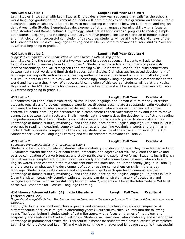### **409 Latin Studies 1 Length: Full Year Credits: 4**

Latin Studies 1, together with Latin Studies II, provides a two-year sequence that satisfies the school's world language graduation requirement. Students will learn the basics of Latin grammar and accumulate a substantial Latin vocabulary. Students learn to make strong connections between Latin roots and English derivatives. Latin Studies 1 emphasizes development of strong language learning skills with a focus on Latin literature and Roman culture + mythology. Students in Latin Studies 1 progress to reading simple Latin stories, acquiring and retaining vocabulary. Creative projects include exploration of Roman culture and mythology. With successful completion of this course, students will be at the Novice Mid level of the ACL Standards for Classical Language Learning and will be prepared to advance to Latin Studies 2 or Latin 1. Offered beginning in grade 9

### **410 Latin Studies 2 Length: Full Year Credits: 4**

*Suggested Prerequisite Skills: Completion of Latin Studies 1 with passing grade.*

Latin Studies 2 is the second half of a two-year world language sequence. Students will add to the foundation of Latin learning from Latin Studies 1. Students will consolidate grammar and previously learned vocabulary, and will strengthen Latin reading skills. Students will continue to build connections between Latin root words and English derivatives. Latin Studies 2 emphasizes increased development of language learning skills with a focus on reading authentic Latin stories based on Roman mythology and culture. Students in Latin Studies 2 will read increasingly complex language and make comparisons to the world and literature they know. With successful completion of this course, students will be at the Novice High level of the ACL Standards for Classical Language Learning and will be prepared to advance to Latin 2. Offered beginning in grade 10.

Fundamentals of Latin is an introductory course in Latin language and Roman culture for any interested students regardless of previous language experience. Students accumulate a substantial Latin vocabulary and learn the basics of Latin grammar while reading adapted Latin stories set in an ancient Roman context. Students learn English derivatives as a complement to their vocabulary study and learn to make connections between Latin roots and English words. Latin 1 emphasizes the development of strong reading comprehension skills in Latin. Students complete creative projects each quarter to demonstrate their knowledge of Roman culture, mythology, and Latin's influence on the English language. Students in Latin I progress to reading increasingly complex Latin stories and retaining vocabulary words and grammar in context. With successful completion of the course, students will be at the Novice High level of the ACL Standards for Classical Language Learning and will be prepared to advance to Latin 2.

## **412 Latin 2 Length: Full Year Credits: 4**

### *Suggested Prerequisite Skills: A C- or better in Latin 1*

Students in Latin 2 accumulate substantial Latin vocabulary, building upon what they have learned in Latin 1. Students extend their study of noun cases, pronouns, and adjective forms. They learn the active and passive conjugation of six verb tenses, and study participles and subjunctive forms. Students learn English derivatives as a complement to their vocabulary study and make connections between Latin roots and English words. Each chapter in the textbook continues the story about a Roman family (begun in Latin 1) and the course emphasizes the development of strong reading comprehension skills in the target language. Students complete creative and cooperative projects each quarter to demonstrate their knowledge of Roman culture, mythology, and Latin's influence on the English language. Students in Latin 2 can translate increasingly complex Latin stories and can demonstrate mastery of vocabulary and recognize grammar. With successful completion of Latin 2, students will be at the Intermediate Mid level of the ACL Standards for Classical Language Learning.

### **416 Honors Advanced Latin (A): Latin Literature Length: Full Year Credits: 4 (offered 2021-22)**

*Suggested Prerequisite Skills: Teacher recommendation and a C+ average in Latin 2 or Honors Advanced Latin: Latin Literature*

Latin 3 / 4 Honors is a combined class of juniors and seniors and is taught in a 2-year sequence. A different course of study is taught in alternating years (A curriculum, then B curriculum the following year). The A curriculum includes study of Latin literature, with a focus on themes of mythology and hospitality and readings by Ovid and Petronius. Students will learn new Latin vocabulary and expand their knowledge of grammatical structures. This course is meant for students who have successfully completed Latin 2 or Honors Advanced Latin (B) and wish to continue with advanced language study. With successful

## **411 Latin 1 Length: Full Year Credits: 4**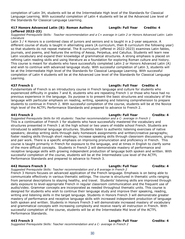completion of Latin 3H, students will be at the Intermediate High level of the Standards for Classical Language Learning. With successful completion of Latin 4 students will be at the Advanced Low level of the Standards for Classical Language Learning.

## **417 Honors Advanced Latin (B): Roman Authors Length: Full Year Credits: 4 (offered 2022-23)**

*Suggested Prerequisite Skills: Teacher recommendation and a C+ average in Latin 2 or Honors Advanced Latin: Latin Literature*

Latin 3 / 4 Honors is a combined class of juniors and seniors and is taught in a 2-year sequence. A different course of study is taught in alternating years (A curriculum, then B curriculum the following year) so that students do not repeat material. The B curriculum (offered in 2022-2023) examines Latin fables, journals, and poems, and features the writing of Aesop, Perpetua, and Catullus. Students will learn new Latin vocabulary and expand their knowledge of grammatical structures. A strong emphasis is placed on refining Latin reading skills and using literature as a foundation for exploring Roman culture and history. This course is meant for students who have successfully completed Latin 2 or Honors Advanced Latin (A) and wish to continue with advanced language study. With successful completion of Latin 3, students will be at the Intermediate High level of the Standards for Classical Language Learning. With successful completion of Latin 4 students will be at the Advanced Low level of the Standards for Classical Language Learning.

Fundamentals of French is an introductory course in French language and culture for students who experienced difficulty in grades 7 and 8, students who are repeating French 1 or those who have had no previous experience in the language. Its purpose is to present the basic structures and vocabulary of the language with particular emphasis on reading, writing, speaking and listening comprehension to prepare students to continue in French 2. With successful completion of the course, students will be at the Novice High level of the ACTFL Performance Standards and prepared to advance to French 2.

*Suggested Prerequisite Skills for HS students: Teacher recommendation and a C- average in French 1* This is a continuation of French 1 for students who have successfully mastered the vocabulary and structures presented in French 1 at the high school or two years of middle school French. Students are introduced to additional language structures. Students listen to authentic listening exercises of native speakers; develop writing skills through daily homework assignments and written/creative paragraphs; foster reading skills through short readings; increase speaking skills through classroom discussions, group and pair work. There is a specific emphasis on improving pronunciation and proficiency in French. This course is taught primarily in French for exposure to the language, and at times in English to clarify some of the more difficult concepts. Students in French 2 will demonstrate mastery of performance and receptive language skills with growing independent production of language both spoken and written. With successful completion of the course, students will be at the Intermediate Low level of the ACTFL Performance Standards and prepared to advance to French 3.

## **442 Honors French 3 Length: Full Year Credits: 4**

*Suggested Prerequisite Skills: Teacher recommendation and a B average in French 2*

French 3 Honors focuses on advanced application of the French language. Emphasis is on being able to communicate effectively in various thematic settings. The course is structured in thematic units ranging from personal descriptions to staying healthy, and travel. Students' listening skills are improved through daily exposure to level-appropriate French in regular classroom communication and the frequent use of audio/video. Grammar concepts are incorporated as needed throughout thematic units. This course is designed for students who wish to continue their language study and improve their speaking, reading, writing and listening skills in the target language. Students in Honors French 3 will demonstrate greater mastery of performance and receptive language skills with increased independent production of language both spoken and written. Students in Honors French 3 will demonstrate increased mastery of vocabulary and grammatical concepts with increasing complexity and receive nearly all instruction in French. With successful completion of the course, students will be at the Intermediate Mid level of the ACTFL Performance Standards.

## **443 French 3 Length: Full Year Credits: 4**

*Suggested Prerequisite Skills: Teacher recommendation and a C- average in French 2* 

### **437 French 1 Length: Full Year Credits: 4**

## **441 French 2 Length: Full Year Credits: 4**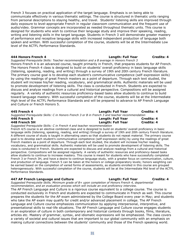French 3 focuses on practical application of the target language. Emphasis is on being able to communicate effectively in various thematic settings. The course is structured in thematic units ranging from personal descriptions to staying healthy, and travel. Students' listening skills are improved through daily exposure to level-appropriate French in regular classroom communication and the frequent use of audio/video. Grammar concepts are incorporated as needed throughout thematic units. This course is designed for students who wish to continue their language study and improve their speaking, reading, writing and listening skills in the target language. Students in French 3 will demonstrate greater mastery of performance and receptive language skills with increased independent production of language both spoken and written. With successful completion of the course, students will be at the Intermediate Low level of the ACTFL Performance Standards.

### **444 Honors French 4 Length: Full Year Credits: 4**

*Suggested Prerequisite Skills: Teacher recommendation and a B average in Honors French 3* Honors French 4 is an advanced course, taught primarily in French, that prepares students for AP French. The Honors French 4 class is designed to build on students' overall proficiency in basic language skills (listening, speaking, reading, and writing) through a survey of 19th and 20th century French literature. The primary course goal is to develop each student's communicative competence (self-expression skills) by using the readings of great French masters as a point of departure. Through each text studied, the student will increase his/her reading, vocabulary, and grammatical skills. Authentic materials will be used to promote development of listening skills. The class is conducted in French. Students are expected to discuss and analyze readings from a cultural and historical perspective. Compositions will be assigned regularly. A variety of authentic resources proficiency-based tasks allow students to continue to build toward language mastery. With successful completion of the course, students will be at the Intermediate High level of the ACTFL Performance Standards and will be prepared to advance to AP French Language and Culture or French Honors 5.

### **445 French 4 Length: Full Year Credits: 4** *Suggested Prerequisite Skills: C in Honors French 3 or B in French 3 and teacher recommendation* **446 French 5 Length: Full Year Credits: 4 448 French 5H Length: Full Year Credits: 4**

*Suggested Prerequisite Skills: C in French 4 and teacher recommendation*

French 4/5 course is an elective combined class and is designed to build on students' overall proficiency in basic language skills (listening, speaking, reading, and writing) through a survey of 19th and 20th century French literature. A different course of study is taught in alternating years so that students do not repeat material. The primary course goal is to develop each student's communicative competence (self-expression skills) by using the readings of great French masters as a point of departure. Through each text studied, the student will increase his/her reading, vocabulary, and grammatical skills. Authentic materials will be used to promote development of listening skills. The class is conducted in French. Students are expected to discuss and analyze readings from a cultural and historical perspective. Compositions will be assigned regularly. A variety of authentic resources and proficiency-based tasks allow students to continue to increase mastery. This course is meant for students who have successfully completed French 3 or French 3H, and have a desire to continue language study, with a greater focus on communication, culture, and production of language. French 5 can be taken at the honors or college-preparatory levels; honors weighting can be earned based on the completion of varied forms of assessments, as students enrolled in this course are grouped heterogeneously. With successful completion of the course, students will be at the Intermediate Mid level of the ACTFL Performance Standards.

### **447 AP French Language and Culture Length: Full Year Credits: 4**

*Suggested Prerequisite Skills. Minimum grade of B+ upon completion of Honors French 4, departmental recommendation, and an evaluation process which will include an oral proficiency interview.*

The AP French Language and Culture is a rigorous course equivalent to a college course. The course is conducted exclusively in French and students are expected to communicate in French as well. This course prepares the students for the AP exam administered by the College Board every year in May; and students who take the AP exam may qualify for credit and/or advanced placement in college. The AP French Language and Culture course emphasizes communication by applying interpersonal, interpretive, and presentational skills to real-life situations. The AP French Language and Culture course engages students in an exploration of culture in both contemporary and historical contexts through books, films, literature, articles etc. Mastery of grammar, syntax, and idiomatic expressions will be emphasized. The class covers a variety of societal and cultural issues that are important to our global community with an emphasis on making cultural connections between the students' community and those of the French speaking world.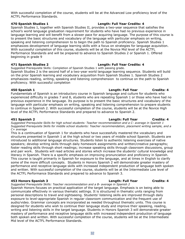With successful completion of the course, students will be at the Advanced Low proficiency level of the ACTFL Performance Standards.

## **470 Spanish Studies 1 Length: Full Year Credits: 4**

Spanish Studies 1, together with Spanish Studies II, provides a two-year sequence that satisfies the school's world language graduation requirement for students who have had no previous experience in language learning and will benefit from a slower pace for acquiring language. The purpose of this course is to present the basic structures and vocabulary of the language with particular emphasis on writing, speaking and listening comprehension to to begin the path to Spanish proficiency. Spanish Studies 1 emphasizes development of language learning skills with a focus on strategies for language acquisition. With successful completion of this course, students will be at the Novice Mid level of the ACTFL Performance Standards and will be prepared to advance to Spanish Studies 2 or Spanish 1. Offered beginning in grade 9

## **471 Spanish Studies 2 Length: Full Year Credits: 4**

Suggested Prerequisite Skills: Completion of Spanish Studies 1 with passing grade. Spanish Studies 2 is the second half of a two-year world language learning sequence. Students will build on the prior Spanish learning and vocabulary acquisition from Spanish Studies 1. Spanish Studies 2 emphasizes reading, writing, speaking and listening comprehension to continue on the path to Spanish proficiency. With successful completion

## **450 Spanish 1 Length: Full Year Credits: 4**

Fundamentals of Spanish is an introductory course in Spanish language and culture for students who experienced difficulty in grades 7 and 8, students who are repeating Spanish 1 or those who have had no previous experience in the language. Its purpose is to present the basic structures and vocabulary of the language with particular emphasis on writing, speaking and listening comprehension to prepare students to continue in Spanish 2. With successful completion of the course, students will be at the Novice High level of the ACTFL Performance Standards and prepared to advance to Spanish 2.

**451 Spanish 2 Length: Full Year Credits: 4** *Suggested Prerequisite Skills for high school students: Teacher recommendation and a C- average in Spanish 1 Suggested Prerequisite Skills for middle school students: Teacher recommendation, placement writing sample, and a C+ average*

This is a continuation of Spanish 1 for students who have successfully mastered the vocabulary and structures presented in Spanish 1 at the high school or two years of middle school Spanish. Students are introduced to additional language structures. Students listen to authentic listening exercises of native speakers; develop writing skills through daily homework assignments and written/creative paragraphs; foster reading skills through short readings; increase speaking skills through classroom discussions, group and pair work. Students will read articles and stories which increase the students' cultural knowledge and literacy in Spanish. There is a specific emphasis on improving pronunciation and proficiency in Spanish. This course is taught primarily in Spanish for exposure to the language, and at times in English to clarify some of the more difficult concepts. Students in Honors Spanish 2 will demonstrate greater mastery of performance and receptive language skills with increased independent production of language both spoken and written. With successful completion of the course, students will be at the Intermediate Low level of the ACTFL Performance Standards and prepared to advance to Spanish 3.

## **453 Honors Spanish 3 Length: Full Year Credits: 4**

*Suggested Prerequisite Skills: Teacher recommendation and a B- average in Spanish 2* 

Spanish Honors focuses on practical application of the target language. Emphasis is on being able to communicate effectively in various thematic settings. It is structured in thematic units ranging from personal descriptions to travel and sightseeing. Students' listening skills are improved through daily exposure to level-appropriate Spanish in regular classroom communication and the frequent use of audio/video. Grammar concepts are incorporated as needed throughout thematic units. This course is designed for students who wish to continue their language study and improve their speaking, reading, writing and listening skills in the target language. Students in Honors Spanish 3 will demonstrate greater mastery of performance and receptive language skills with increased independent production of language both spoken and written. With successful completion of the course, students will be at the Intermediate Mid level of the ACTFL Performance Standards.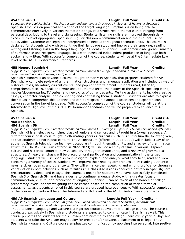## **454 Spanish 3 Length: Full Year Credits: 4**

*Suggested Prerequisite Skills: Teacher recommendation and a C- average in Spanish 2 Honors or Spanish 2* Spanish 3 focuses on practical application of the target language. Emphasis is on being able to communicate effectively in various thematic settings. It is structured in thematic units ranging from personal descriptions to travel and sightseeing. Students' listening skills are improved through daily exposure to level-appropriate Spanish in regular classroom communication and the frequent use of audio/video. Grammar concepts are incorporated as needed throughout thematic units. This course is designed for students who wish to continue their language study and improve their speaking, reading, writing and listening skills in the target language. Students in Spanish 3 will demonstrate greater mastery of performance and receptive language skills with increased independent production of language both spoken and written. With successful completion of the course, students will be at the Intermediate Low level of the ACTFL Performance Standards.

### **455 Honors Spanish 4 Length: Full Year Credits: 4**

*Suggested Prerequisite Skills: Teacher recommendation and a B average in Spanish 3 Honors or teacher recommendation and a B average in Spanish 4* 

Spanish 4 Honors is an advanced course, taught primarily in Spanish, that prepares students for AP Spanish. A complete review of all grammatical structures and language application are included by way of historical texts, literature, current events, and popular entertainment. Students read, listen to, comprehend, discuss, speak and write about authentic texts, the history of the Spanish-speaking world, movies/documentaries/TV series, and news clips of current events. Writing assignments include creative essays, character analysis, and comparing and contrasting themes studied. Students are able to express their ideas in comprehensible Spanish and can participate in planned discussions and spontaneous conversation in the target language. With successful completion of the course, students will be at the Intermediate High level of the ACTFL Performance Standards and will be prepared to advance to AP Spanish.

### **457 Spanish 4 Length: Full Year Credits: 4 458 Spanish 5 Length: Full Year Credits: 4 456 Spanish 5H Length: Full Year Credits: 4**

*Suggested Prerequisite Skills: Teacher recommendation and a C+ average in Spanish 3 Honors or Spanish 4/Honors* Spanish 4/5 is an elective combined class of juniors and seniors and is taught in a 2-year sequence. A different course of study is taught in alternating years (A curriculum, then B curriculum the following year) so that students do not repeat content. The A curriculum (offered in 2021-2022) will include study of an authentic Spanish television series, new vocabulary through thematic units, and a review of grammatical structures. The B curriculum (offered in 2022-2023) will include a study of films in various Hispanic cultural and historical contexts, new vocabulary through thematic units, and a review of grammatical structures. A heavy emphasis will be placed on oral participation and communication in the target language. Students will use Spanish to investigate, explain, and analyze what they hear, read and view concerning a variety of topics. Students will improve their reading comprehension by reading authentic news, articles, poems, and other texts. They will enhance their speaking and writing proficiency through a variety of classroom activities such as tertulias (full-class discussions conducted entirely in Spanish), oral presentations, videos, and essays. This course is meant for students who have successfully completed Spanish 3 or Spanish 3H, and have a desire to continue language study, with a greater focus on communication, culture, and production of language. Spanish 5 can be taken at the honors or collegepreparatory levels; honors weighting can be earned based on the completion of varied forms of assessments, as students enrolled in this course are grouped heterogeneously. With successful completion of the course, students will be at the Intermediate Mid level of the ACTFL Performance Standards.

## **459 AP Spanish Language and Culture Length: Full Year Credits: 4**

*Suggested Prerequisite Skills. Minimum grade of B+ upon completion of Honors Spanish 4, departmental recommendation, and an evaluation process which will include an oral proficiency interview.*

The AP Spanish Language and Culture is a rigorous course equivalent to a college course. The course is conducted exclusively in Spanish and students are expected to communicate in Spanish as well. This course prepares the students for the AP exam administered by the College Board every year in May; and students who take the AP exam may qualify for credit and/or advanced placement in college. The AP Spanish Language and Culture course emphasizes communication by applying interpersonal, interpretive,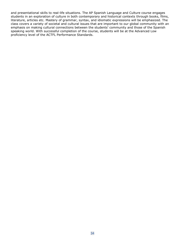and presentational skills to real-life situations. The AP Spanish Language and Culture course engages students in an exploration of culture in both contemporary and historical contexts through books, films, literature, articles etc. Mastery of grammar, syntax, and idiomatic expressions will be emphasized. The class covers a variety of societal and cultural issues that are important to our global community with an emphasis on making cultural connections between the students' community and those of the Spanish speaking world. With successful completion of the course, students will be at the Advanced Low proficiency level of the ACTFL Performance Standards.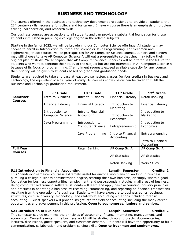## **BUSINESS AND TECHNOLOGY**

The courses offered in the business and technology department are designed to provide all students the 21<sup>st</sup> century skills necessary for college and for career. In every course there is an emphasis on problem solving, collaboration, and research skills.

Our business courses are accessible to all students and can provide a substantial foundation for those students interested in pursuing a college degree in the related subjects.

Starting in the fall of 2022, we will be broadening our Computer Science offerings. All students may choose to enroll in Introduction to Computer Science or Java Programming. For freshmen and sophomores, these courses will be prerequisites for AP Computer Science courses. Juniors and seniors may still choose to take AP Computer Science A without a prerequisite so that they may follow their original plan of study. We anticipate that AP Computer Science Principles will be offered in the future for students who want to continue their study of the subject but are not interested in AP Computer Science A because of its focus on programming. If enrollment requests exceed available capacity for any course, then priority will be given to students based on grade and graduation needs.

Students are required to take and pass at least two semesters classes (or four credits) in Business and Technology, the equivalent of a full year of study. All courses shown below can be taken to fulfill the Business and Technology graduation requirement.

|                                    | 9 <sup>th</sup> Grade               | 10 <sup>th</sup> Grade                     | 11 <sup>th</sup> Grade           | 12 <sup>th</sup> Grade           |
|------------------------------------|-------------------------------------|--------------------------------------------|----------------------------------|----------------------------------|
| <b>Semester</b><br><b>Courses</b>  | Intro to Business                   | Intro to Business                          | <b>Financial Literacy</b>        | Retail Banking                   |
|                                    | <b>Financial Literacy</b>           | Financial Literacy                         | Introduction to<br>Marketing     | Financial Literacy               |
|                                    | Introduction to<br>Computer Science | Intro to Financial<br>Accounting           | Introduction to<br>Economics     | Introduction to<br>Marketing     |
|                                    | Java Programming                    | Introduction to<br><b>Computer Science</b> | Entrepreneurship                 | Introduction to<br>Economics     |
|                                    |                                     | Java Programming                           | Intro to Financial<br>Accounting | Entrepreneurship                 |
|                                    |                                     |                                            |                                  | Intro to Financial<br>Accounting |
| <b>Full Year</b><br><b>Courses</b> |                                     | Retail Banking                             | AP Comp Sci A                    | AP Comp Sci A                    |
|                                    |                                     |                                            | <b>AP Statistics</b>             | <b>AP Statistics</b>             |
|                                    |                                     |                                            | Retail Banking                   | Work Study                       |

### **511 Introduction to Financial Accounting Length: Semester Credits: 2**

This "hands-on" semester course is extremely useful for anyone who plans on working in business, pursuing a college business administration degree, starting their own business, or simply wants a good foundation for business opportunities, employment, and post-secondary studies in all areas of business. Using computerized training software, students will learn and apply basic accounting industry principles and practices in operating a business by recording, summarizing, and reporting on financial transactions resulting from the operation of a business. Students will have exposure to business ethics, business structures, cultural diversity, technology, and real-world accounting situations including forensic accounting. Guest speakers will provide insight into the field of accounting including the many career opportunities and advancement in this profession. **Open to sophomores, juniors and seniors.**

## **521 Introduction to Business Length: Semester Credits: 2**

This semester course examines the principles of accounting, finance, marketing, management, and economics. Current events in the business world will be studied through projects, documentaries, lectures, discussions, guest speakers, and classroom debates. Students will have the opportunity to build communication, collaboration and problem-solving skills. **Open to freshmen and sophomores.**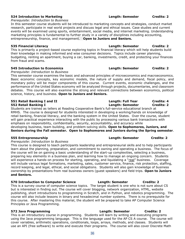*Prerequisite: Introduction to Business*

In this semester course students will be introduced to marketing concepts and strategies, conduct market research, participate in real world projects and discuss legal and ethical issues. Case studies and current events will be examined using sports, entertainment, social media, and internet marketing. Understanding marketing principles is fundamental to further study in a variety of disciplines including accounting, entrepreneurship, finance, and management. **Open to Juniors and Seniors.**

## **535 Financial Literacy Length: Semester Credits: 2**

This is primarily a project-based course exploring topics in financial literacy which will help students build their knowledge in making informed and wise consumer decisions. Topics include career planning, budgeting, renting an apartment, buying a car, banking, investments, credit, and protecting your finances from fraud and scams.

## **545 Introduction to Economics Length: Semester Credits: 2**

### *Prerequisite: Introduction to Business*

This semester course examines the basic and advanced principles of microeconomics and macroeconomics. Basic economic concepts, key economic models, the nature of supply and demand, fiscal policy, and monetary policy will be major components of this course. Current events, economic challenges, and the performance of the United States economy will be analyzed through projects, documentaries, and classroom debates. This course will also examine the strong and relevant connections between economics, political science, history, and business. **Open to Juniors and Seniors.**

Students are trained as tellers at Reading Cooperative Bank's full-service educational branch at RMHS. The course is designed for students interested in developing a working/hands on knowledge of retail banking, financial literacy, and the banking system in the United States. Over the course, student will gain practical experience interacting with the public by processing various bank transactions with emphasis on responsibility, confidentiality, security, accountability, and accuracy while developing business, team building, and problem-solving skills. **Open to Sophomores, Juniors, and** 

**Seniors during the Fall semester. Open to Sophomores and Juniors during the Spring semester**.

## **555 Entrepreneurship Length: Semester Credits: 2**

## *Prerequisite: Introduction to Business*

This course is designed to teach participants leadership and entrepreneurial skills and to help participants learn about the planning, preparation, and commitment to owning and operating a business. The focus of the course will be on gaining a basic understanding of the start-up complexities, selecting a business, preparing key elements in a business plan, and learning how to manage an ongoing concern. Students will experience a hands-on process for starting, operating, and liquidating a "real" business. Coverage will include various legal formations, marketing, sales, customer service, finance, risk protection, staffing, record keeping, and legal, ethical, and social obligations. Students will also gain knowledge of business ownership by presentations from real business owners (guest speakers) and field trips. **Open to Juniors and Seniors.**

## **570 Introduction to Computer Science Length: Semester Credits: 2**

This is a survey course of computer science topics. The target student is one who is not sure about CS but is interested in finding out. The course will cover blogging, network organization, HTML, website publishing, short introductions to programming in Scratch, and in Python, and robotics programming. The course will also include lessons in binary and hexadecimal number systems. There is no prerequisite for this course. After mastering this material, the student will be prepared to take AP Computer Science Principles or Java Programming.

### **572 Java Programming Length: Semester Credits: 2**

This is an introductory course in programming. Students will learn by writing and executing programs using the Java programming language. This is the language used for the AP CS A course. The course will cover variables, arithmetic operations, conditionals, loops, arrays, methods, and classes. Students will use an API (free software) to write and execute their programs. The course will also cover Discrete Math

## **524 Introduction to Marketing Length: Semester Credits: 2**

**551 Retail Banking I and II Length: Full Year Credits: 4 552 Retail Banking I Length: Semester Credits: 2**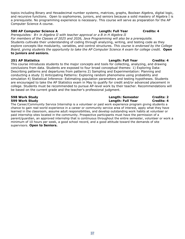topics including Binary and Hexadecimal number systems, matrices, graphs, Boolean Algebra, digital logic, and recursive functions. Open to sophomores, juniors, and seniors because a solid mastery of Algebra I is a prerequisite. No programming experience is necessary. This course will serve as preparation for the AP Computer Science A course.

### **580 AP Computer Science A Length: Full Year Credits: 4**

*Prerequisites: B+ in Algebra II with teacher approval or a B in H Algebra II*

*For members of the Classes of 2025 and 2026, Java Programming will also be a prerequisite.* Students cultivate their understanding of coding through analyzing, writing, and testing code as they explore concepts like modularity, variables, and control structures. *This course is endorsed by the College Board, giving students the opportunity to take the AP Computer Science A exam for college credit.* **Open to juniors and seniors.**

This course introduces students to the major concepts and tools for collecting, analyzing, and drawing conclusions from data. Students are exposed to four broad conceptual themes: 1) Exploring Data: Describing patterns and departures from patterns 2) Sampling and Experimentation: Planning and conducting a study 3) Anticipating Patterns: Exploring random phenomena using probability and simulation 4) Statistical Inference: Estimating population parameters and testing hypotheses. Students are encouraged to take the AP Statistics exam in May to qualify for credit and/or advanced placement in college. Students must be recommended to pursue AP-level work by their teacher. Recommendations will be based on the current grade and the teacher's professional judgment.

### **598 Work Study Length: Semester Credits: 2 599 Work Study Length: Full Year Credits: 4**

The Career/Community Service Internship is a volunteer or paid work experience program giving students a chance to gain real-world experience in a career or community service area of interest, apply what they have learned in the classroom, assume adult responsibilities, and develop outstanding work habits at volunteer or paid internship sites located in the community. Prospective participants must have the permission of a parent/guardian, an approved internship that is continuous throughout the entire semester, volunteer or work a minimum of 10 hours per week, a good school record, and a good attitude toward the demands of site supervisors. **Open to Seniors.**

**251 AP Statistics Length: Full Year Credits: 4**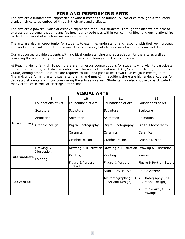## **FINE AND PERFORMING ARTS**

The arts are a fundamental expression of what it means to be human. All societies throughout the world display rich cultures embodied through their arts and artifacts.

The arts are a powerful voice of creative expression for all our students. Through the arts we are able to express our personal thoughts and feelings, our experiences within our communities, and our relationships to the larger world of which we are an integral part.

The arts are also an opportunity for students to examine, understand, and respond with their own process and works of art. Art not only communicates expression, but also our social and emotional well-being.

Our art courses provide students with a critical understanding and appreciation for the arts as well as providing the opportunity to develop their own voice through creative expression.

At Reading Memorial High School, there are numerous course options for students who wish to participate in the arts, including such diverse entry-level classes as Foundations of Art, Sculpture, Acting I, and Basic Guitar, among others. Students are required to take and pass at least two courses (four credits) in the fine and/or performing arts (visual arts, drama, and music). In addition, there are higher-level courses for dedicated students and those considering the arts as a career. Students may also choose to participate in many of the co-curricular offerings after school.

|                     | 9                         | 10                          | 11                                                                   | 12                                      |
|---------------------|---------------------------|-----------------------------|----------------------------------------------------------------------|-----------------------------------------|
|                     | <b>Foundations of Art</b> | <b>Foundations of Art</b>   | Foundations of Art                                                   | Foundations of Art                      |
|                     | Sculpture                 | Sculpture                   | Sculpture                                                            | Sculpture                               |
|                     | Animation                 | Animation                   | Animation                                                            | Animation                               |
| <b>Introductory</b> | Graphic Design            | Digital Photography         | Digital Photography                                                  | Digital Photography                     |
|                     |                           | Ceramics                    | Ceramics                                                             | Ceramics                                |
|                     |                           | Graphic Design              | Graphic Design                                                       | Graphic Design                          |
|                     | Drawing &<br>Illustration |                             | Drawing & Illustration Drawing & Illustration Drawing & Illustration |                                         |
| Intermediate        | Painting                  | Painting                    | Painting                                                             | Painting                                |
|                     |                           | Figure & Portrait<br>Studio | Figure & Portrait<br>Studio                                          | Figure & Portrait Studio                |
|                     |                           |                             | Studio Art/Pre-AP                                                    | Studio Art/Pre-AP                       |
| <b>Advanced</b>     |                           |                             | AP Photography (2-D)<br>Art and Design)                              | AP Photography (2-D)<br>Art and Design) |
|                     |                           |                             |                                                                      | AP Studio Art (3-D &<br>Drawing)        |

## **VISUAL ARTS**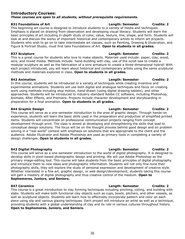## **Introductory Courses:**

*These courses are open to all students, without prerequisite requirements.*

This beginning art course is designed to introduce students to a variety of media and techniques. Emphasis is placed on drawing from observation and developing visual literacy. Students will learn the basic principles of art including in-depth study of color, value, texture, line, shape, and form. Students will look at and discuss the works of important historical and contemporary artists to inform art projects. Students who wish to go on to take intermediate art classes, such as Painting, Drawing & Illustration, and Figure & Portrait Studio, must first take Foundations of Art. **Open to students in all grades.**

## **837 Sculpture Length: Semester Credits: 2**

This is a great course for students who love to make objects. Materials used include: paper, clay, wood, wire, and mixed media. Methods include: hand-building with clay, use of the scroll saw to create a modular sculpture as well as the fabrication of a wire armature to create a three-dimensional hybrid! With each project introduced, you will learn about historical and contemporary artists using the same sculptural methods and materials explored in class. **Open to students in all grades.**

In this course, students will be introduced to a variety of techniques while creating inventive and experimental animations. Students will use both digital and analogue techniques and focus on creating work using methods including stop motion, hand-drawn (using digital drawing tablets), and other approaches. Students will be introduced to industry-standard Adobe CC software, including Photoshop, Animate, After Effects, and Premiere. Projects include character development and storyboarding in preparation for a final animation. **Open to students in all grades.**

This course will serve as a one-semester introduction to the area of graphic design. Through hands-on experience, students will learn the basic skills used in the preparation and production of simplified printed items. Students will concentrate on professional communication projects ranging from concept development through print. The class is aimed at developing and strengthening the skills that lead to conceptual design solutions. The focus will be on the thought process behind good design and on problem solving in a "real world" context with emphasis on solutions that are appropriate to the client and the audience. Adobe Illustrator and Adobe Photoshop are used as primary tools in completing a variety of design challenges. **Open to students in all grades.**

This course will serve as a one-semester introduction to the world of digital photography. It is designed to develop skills in pixel-based photographic design and printing. We will use Adobe Photoshop as the primary image-editing tool. This course will take students from the basic principles of digital photography and introduce them to new ideas and photographic information. Students will not only fine-tune their photography skills, they will explore the study of personal expression and development of creative style. Whether interested in a fine art, graphic design, or web design/development, students taking this course will gain a mastery of digital photography and thus creative control of the medium. **Open to Sophomores, Juniors, and Seniors.**

This course is a great introduction to clay forming techniques including pinching, coiling, and building with slabs. Students will make both functional clay objects such as cups, bowls, pitchers, and other vessels, as well as sculptural objects. Students will learn how to effectively incorporate pattern and color on each piece using slip and various glazing techniques. Each project will introduce an artist as well as a technique, providing students with a global understanding of clay and its role in various cultures throughout history. **Open to Sophomores, Juniors, and Seniors.**

## 39

## **831 Foundations of Art Length: Semester Credits: 2**

## **844 Graphic Design Length: Semester Credits: 2**

## **843 Digital Photography Length: Semester Credits: 2**

## **847 Ceramics Length: Semester Credits: 2**

## **842 Animation Length: Semester Credits: 2**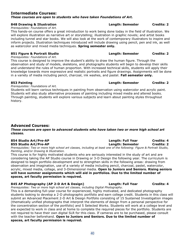## **Intermediate Courses:**  *These courses are open to students who have taken Foundations of Art.*

*Prerequisites: Foundations of Art.*

This hands-on course offers a great introduction to work being done today in the field of illustration. We will explore illustration as narrative art or storytelling; illustration in graphic novels; and artist books including tunnel and star books. We will also look at the work of contemporary illustrators to inspire and inform projects. Illustration techniques introduced will include drawing using pencil, pen and ink, as well as watercolor and mixed media techniques. **Spring semester only.**

## **851 Figure & Portrait Studio Length: Semester Credits: 2**

*Prerequisites: Foundations of Art.* This course is designed to improve the student's ability to draw the human figure. Through the observation and study of models, skeletons, and photographs students will begin to develop their skills and understand the rules of human proportion. With increased technical skills, students will apply their knowledge towards more expressive and realistic portraits and figure drawings. Assignments will be done in a variety of media including pencil, charcoal, ink washes, and pastel. **Fall semester only.**

*Prerequisites: Foundations of Art.*

Students will learn various techniques in painting from observation using watercolor and acrylic paint. Students will also study alternative processes of painting including mixed media and altered books. Through painting, students will explore various subjects and learn about painting styles throughout history.

## **Advanced Courses:**

*These courses are open to advanced students who have taken two or more high school art classes.*

## **854 Studio Art/Pre-AP Length: Full Year Credits: 4**

**855 Studio Art/Pre-AP Length: Semester Credits: 2** *Prerequisites: Two or more high school art classes, including at least one of the following: Figure & Portrait Studio, Painting, and/or Drawing & Illustration.*

This course is for highly motivated students who are seriously interested in the study of art and are considering taking the AP Studio course in Drawing or 3-D Design the following year. The curriculum is designed to begin portfolio development and to strengthen skills in the following areas: drawing from observation and imagination, use of a variety of media including pencil, charcoal, pastel, watercolor, acrylic, mixed media, collage, and 3-Dimensional media. **Open to Juniors and Seniors. Rising seniors will have summer assignments which will aid in portfolios. Due to the limited number of spaces, art faculty permission is required.**

## **845 AP Photography (AP 2-D Art & Design) Length: Full Year Credits: 4**

*Prerequisites: Two or more high school art classes, including Digital Photography.* This is a demanding full-year course for experienced, highly motivated, and dedicated photography students looking to develop a 2-D photographic portfolio and earn college credit. Students in this class will submit an Advanced Placement 2-D Art & Design Portfolio consisting of 15 Sustained Investigation images (thematically unified photographs that interpret the elements of design from a personal perspective for the concentration section of the portfolio) and 5 Selected Works. Students will work at a college level and are expected to work in class and at home to complete the required pieces for the portfolio. Students are not required to have their own digital SLR for this class. If cameras are to be purchased, please consult with the teacher beforehand. **Open to Juniors and Seniors. Due to the limited number of spaces, art faculty permission is required.**

## **848 Drawing & Illustration Length: Semester Credits: 2**

## **853 Painting Length: Semester Credits: 2**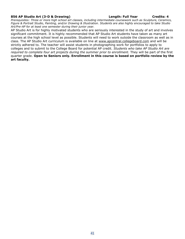### **856 AP Studio Art (3-D & Drawing) Length: Full Year Credits: 4**

*Prerequisites: Three or more high school art classes, including intermediate coursework such as Sculpture, Ceramics, Figure & Portrait Studio, Painting, and/or Drawing & Illustration. Students are also highly encouraged to take Studio Art/Pre-AP for at least one semester during their junior year.*

AP Studio Art is for highly motivated students who are seriously interested in the study of art and involves significant commitment. It is highly recommended that AP Studio Art students have taken as many art courses at the high school level as possible. Students will need to work outside the classroom as well as in class. The AP Studio Art curriculum is available on line at www.apcentral.collegeboard.com and will be strictly adhered to. The teacher will assist students in photographing work for portfolios to apply to colleges and to submit to the College Board for potential AP credit. *Students who take AP Studio Art are required to complete four art projects during the summer prior to enrollment.* They will be part of the first quarter grade. **Open to Seniors only. Enrollment in this course is based on portfolio review by the art faculty.**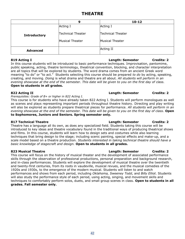## **THEATRE**

|                     | 9                        | $10 - 12$                |
|---------------------|--------------------------|--------------------------|
| <b>Introductory</b> | Acting I                 | Acting I                 |
|                     | <b>Technical Theater</b> | <b>Technical Theater</b> |
|                     | <b>Musical Theater</b>   | <b>Musical Theater</b>   |
| <b>Advanced</b>     |                          | Acting II                |

## **819 Acting I Length: Semester Credits: 2**

In this course students will be introduced to basic performance techniques. Improvisation, pantomime, public speaking, acting, theatre terminology, theatrical convention, blocking, and character interpretation are all topics that will be explored by students. The word drama comes from an ancient Greek word meaning "to do" or "to act." Students selecting this course should be prepared *to do* by acting, speaking, creating, and moving. *Doing* is what drama and theatre are all about. *All students will perform in an evening showcase at the end of the semester. This date will be given to you on the first day of class.*  **Open to students in all grades.**

*Prerequisites: Grade of B+ or higher in 822 Acting I.*

This course is for students who have already taken 822 Acting I. Students will perform monologues as well as scenes and plays representing important periods throughout theatre history. Directing and play writing will also be explored as students prepare theatrical pieces for performance. *All students will perform in an evening showcase at the end of the semester. This date will be given to you on the first day of class.* **Open to Sophomores, Juniors and Seniors. Spring semester only.**

## **817 Technical Theatre Length: Semester Credits: 2**

Theatre has a language all its own, as does any specialized field. Students taking this course will be introduced to key ideas and theatre vocabulary found in the traditional ways of producing theatrical shows and films. In this course, students will learn how to design sets and costumes while also learning techniques that bring design to the stage; including scenic painting, special effects and make-up, and a scale model based on a theatre production. *Students interested in taking technical theatre should have a basic knowledge of stagecraft and design.* **Open to students in all grades.**

This course will focus on the history of musical theater and the development of associated performance skills through the observation of professional productions, personal preparation and background research, and in-class performances. Students will explore the development of musical theatre over the twentieth and twenty-first centuries, from its roots in vaudeville, musical revues, and the musical comedies of the 1920s and 1930s, to the emergence of the modern musical. Students will listen to and watch performances and shows from each period, including *Oklahoma, Sweeney Todd*, and *Billy Elliot*. Students will also study the performance style of each period, using acting, singing, and movement skills and techniques to comfortably perform solos, duets, and small group scenes in class. **Open to students in all grades. Fall semester only.**

## **823 Musical Theatre Length: Semester Credits: 2**

## **822 Acting II Length: Semester Credits: 2**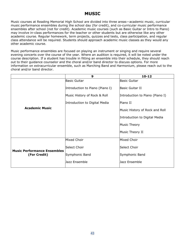## **MUSIC**

Music courses at Reading Memorial High School are divided into three areas—academic music, curricular music performance ensembles during the school day (for credit), and co-curricular music performance ensembles after school (not for credit). Academic music courses (such as Basic Guitar or Intro to Piano) may involve in-class performances for the teacher or other students but are otherwise like any other academic course. Regular homework, term projects, quizzes and tests, class participation, and regular class attendance will be required. Students should approach academic music classes as they would any other academic course.

Music performance ensembles are focused on playing an instrument or singing and require several evening concerts over the course of the year. Where an audition is required, it will be noted under the course description. If a student has trouble in fitting an ensemble into their schedule, they should reach out to their guidance counselor and the choral and/or band director to discuss options. For more information on extracurricular ensemble, such as Marching Band and Harmonium, please reach out to the choral and/or band director.

|                                                    | 9                               | $10 - 12$                       |  |
|----------------------------------------------------|---------------------------------|---------------------------------|--|
|                                                    | <b>Basic Guitar</b>             | <b>Basic Guitar</b>             |  |
| <b>Academic Music</b>                              | Introduction to Piano (Piano I) | Basic Guitar II                 |  |
|                                                    | Music History of Rock & Roll    | Introduction to Piano (Piano I) |  |
|                                                    | Introduction to Digital Media   | Piano II                        |  |
|                                                    |                                 | Music History of Rock and Roll  |  |
|                                                    |                                 | Introduction to Digital Media   |  |
|                                                    |                                 | <b>Music Theory</b>             |  |
|                                                    |                                 | Music Theory II                 |  |
| <b>Music Performance Ensembles</b><br>(For Credit) | Mixed Choir                     | Mixed Choir                     |  |
|                                                    | Select Choir                    | Select Choir                    |  |
|                                                    | Symphonic Band                  | Symphonic Band                  |  |
|                                                    | Jazz Ensemble                   | Jazz Ensemble                   |  |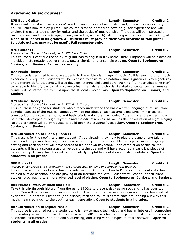## **Academic Music Courses:**

**875 Basic Guitar Length: Semester Credits: 2** If you want to make music and don't want to sing or play a band instrument, this is the course for you. You will learn how to play guitar. This course is for students who have no guitar experience and will explore the use of technology for guitar and the basics of musicianship. The class will be instructed on reading music and chords (major, minor, sevenths, and sixth), strumming with a pick, finger picking, etc. **Open to students in all grades. All students must provide their own acoustic or folk guitar (electric guitars may not be used). Fall semester only.**

### **876 Guitar II Length: Semester Credits: 2**

*Prerequisites: Grade of B+ or higher in 875 Basic Guitar.* This course will continue the study of guitar basics begun in 876 Basic Guitar. Emphasis will be placed on individual note notation, barre chords, power chords, and ensemble playing. **Open to Sophomores, Juniors, and Seniors. Fall semester only.**

This course is designed to expose students to the written language of music. At this level, no prior music experience is required. Students will be exposed to basic music notation, time signatures, key signatures, and different clefs. Students will also develop listening skills and aural training (i.e. hear what is written) to be able to identify basic rhythms, melodies, intervals, and chords. Related concepts, such as musical terms, will be introduced to build upon the students' vocabulary. **Open to Sophomores, Juniors, and Seniors.**

## **879 Music Theory II Length: Semester Credits: 2**

*Prerequisites: Grade of B+ or higher in 877 Music Theory.*

This course is designed for students who already understand the basic written language of music. More complex aspects of the musical language will be introduced, such as time signatures, minor scales, transposition, two-part harmony, and basic triads and choral harmonies. Aural skills and ear training will be further developed through rhythmic and melodic examples, as well as the introduction of sight-singing. Related concepts will be introduced to build upon the students' vocabulary. **Open to Sophomores, Juniors, and Seniors.**

This class is for the *beginner* piano student. If you already know how to play the piano or are taking lessons with a private teacher, this course is not for you. Students will learn to play piano in a group setting and each student will have access to his/her own keyboard. Upon completion of this course, students will have a strong grasp of keyboard technique and will have acquired a basic knowledge of music theory. Taking this class will be particularly helpful to vocalists and instrumentalists. **Open to students in all grades.**

## **880 Piano II Length: Semester Credits: 2**

*Prerequisites: Grade of B+ or higher in 878 Introduction to Piano or approval from teacher.* This course is for students who have already taken 878 Introduction to Piano or for students who have studied outside of school and are playing at an intermediate level. Students will continue their piano studies, progressing to a more advanced level of playing. **Open to Sophomores, Juniors, and Seniors.** 

Take this trip through history (from the early 1900ss to present day) using rock and roll as your tour guide. You will experience the early years of rock and roll, discovering its origin and how it has evolved over time. Students will listen to (and dissect) rock and roll music from each era, finding out why this music means so much to the youth of each generation. **Open to students in all grades.**

## **887** Introduction to Digital Media **Length: Semester** Credits: 2

This course is designed for the student who is new to music technology and has an interest in composing and creating music. The focus of this course is on MIDI basics hands-on exploration, skill development of electronic instruments, notation and sequencing, and using various types of music software. **Open to students in all grades.**

### **877 Music Theory Length: Semester Credits: 2**

## **878 Introduction to Piano (Piano I) Length: Semester Credits: 2**

## **881 Music History of Rock and Roll Length: Semester Credits: 2**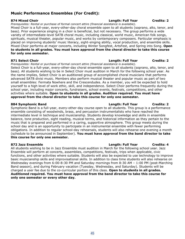## **Music Performance Ensembles (For Credit):**

## **874 Mixed Choir Length: Full Year Credits: 2**

*Prerequisites: Rental or purchase of formal concert attire (financial assistance is available).*

Mixed Choir is a full-year, every-other-day choral ensemble open to all students (soprano, alto, tenor, and bass). Prior experience singing in a choir is beneficial, but not necessary. The group performs a wide variety of intermediate-level SATB choral music, including classical, world music, American folk songs, spirituals, musical theater, popular music, and works by contemporary composers. Particular emphasis is placed on improving students' music literacy, sight-singing ability, vocal production, and ensemble skills. Mixed Choir performs at major concerts, including Winter Songfest, ArtsFest, and Spring into Song. **Open to students in all grades. You must have approval from the choral director to take this course for only one semester.**

## **871 Select Choir Length: Full Year Credits: 2**

*Prerequisites: Rental or purchase of formal concert attire (financial assistance is available).* Select Choir is a full-year, every-other-day choral ensemble open to all students (soprano, alto, tenor, and bass). All students wishing to be in Select Choir must audition in March for the following school year. As the name implies, Select Choir is an auditioned group of accomplished choral musicians that performs advanced SATB divisi music. Members also perform musical theater and popular music as part of two small ensembles: Fermata Nowhere and the Crescendudes. As a member, you will be expected to hold yourself to a high level of work ethic, skill, and independence. Select Choir performs frequently during the school year, including major concerts, fundraisers, school events, festivals, competitions, and other activities where suitable. **Open to students in all grades. Audition required. You must have approval from the choral director to take this course for only one semester.**

Symphonic Band is a full-year, every-other-day course open to all students. This group is a performance ensemble consisting of woodwinds, brass, and percussion instrumentalists who have reached the intermediate level in technique and musicianship. Students develop knowledge and skills in ensemble balance, tone production, sight reading, musical terms, and historical information as they pertain to the music that is prepared and performed in a caring, supportive atmosphere. This group meets during the school day and is an opportunity to participate in an instrumental ensemble with fewer performing obligations. In addition to regular school-day rehearsals, students will also rehearse one evening a month (schedule to be announced in September). **You must have approval from the band director to take this course for only one semester.**

**872 Jazz Ensemble Length: Full Year Credits: 4** All students wishing to be in Jazz Ensemble must audition in March for the following school year. Jazz Ensemble will perform at concerts, assemblies, competitions, festivals, trips when applicable, civic functions, and other activities where suitable. Students will also be expected to use technology to improve basic musicianship skills and improvisational skills. In addition to class time students will also rehearse on Wednesday evenings from 6:00-8:30 PM and Saturday mornings from 8:30 AM – 1:00 PM (post-Marching Band season), and during February vacation (Tuesday, Wednesday, and Saturday). Students will be charged a user fee due to the co-curricular portion of this class. **Open to students in all grades. Auditioned required. You must have approval from the band director to take this course for only one semester or every other day.**

**884 Symphonic Band Length: Full Year Credits: 2**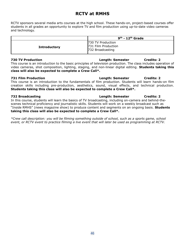## **RCTV at RMHS**

RCTV sponsors several media arts courses at the high school. These hands-on, project-based courses offer students in all grades an opportunity to explore TV and film production using up-to-date video cameras and technology.

|                     | $9th$ - 12 <sup>th</sup> Grade                               |
|---------------------|--------------------------------------------------------------|
| <b>Introductory</b> | 730 TV Production<br>731 Film Production<br>732 Broadcasting |

## **730 TV Production Length: Semester Credits: 2**

This course is an introduction to the basic principles of television production. The class includes operation of video cameras, shot composition, lighting, staging, and non-linear digital editing. **Students taking this class will also be expected to complete a Crew Call\*.** 

## **731 Film Production Length: Semester Credits: 2**

This course is an introduction to the fundamentals of film production. Students will learn hands-on film creation skills including pre-production, aesthetics, sound, visual effects, and technical production. **Students taking this class will also be expected to complete a Crew Call\*.**

In this course, students will learn the basics of TV broadcasting, including on-camera and behind-thescenes technical proficiency and journalistic skills. Students will work on a weekly broadcast such as "Inside RMHS" (news magazine show) to produce content and segments on an ongoing basis. **Students taking this class will also be expected to complete a Crew Call\*.**

*\*Crew call description: you will be filming something outside of school, such as a sports game, school event, or RCTV event to practice filming a live event that will later be used as programming at RCTV.* 

## **732 Broadcasting Length: Semester Credits: 2**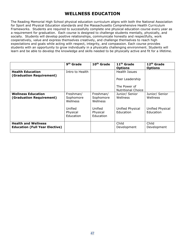## **WELLNESS EDUCATION**

The Reading Memorial High School physical education curriculum aligns with both the National Association for Sport and Physical Education standards and the Massachusetts Comprehensive Health Curriculum Frameworks. Students are required to successfully complete one physical education course every year as a requirement for graduation. Each course is designed to challenge students mentally, physically, and socially. Students will develop positive relationships, communicate honestly and respectfully, work cooperatively, value and express themselves creatively, and challenge themselves to reach high expectations and goals while acting with respect, integrity, and compassion. Each course provides students with an opportunity to grow individually in a physically challenging environment. Students will learn and be able to develop the knowledge and skills needed to be physically active and fit for a lifetime.

|                                                       | 9 <sup>th</sup> Grade  | 10 <sup>th</sup> Grade | 11 <sup>th</sup> Grade<br><b>Options</b>  | 12 <sup>th</sup> Grade<br><b>Options</b> |
|-------------------------------------------------------|------------------------|------------------------|-------------------------------------------|------------------------------------------|
| <b>Health Education</b><br>(Graduation Requirement)   | Intro to Health        |                        | <b>Health Issues</b>                      |                                          |
|                                                       |                        |                        | Peer Leadership                           |                                          |
|                                                       |                        |                        | The Power of<br><b>Nutritional Choice</b> |                                          |
| <b>Wellness Education</b><br>(Graduation Requirement) | Freshman/<br>Sophomore | Freshman/<br>Sophomore | Junior/ Senior<br>Wellness                | Junior/ Senior<br>Wellness               |
|                                                       | Wellness               | Wellness               |                                           |                                          |
|                                                       | Unified                | Unified                | Unified Physical<br><b>Education</b>      | Unified Physical<br><b>Education</b>     |
|                                                       | Physical<br>Education  | Physical<br>Education  |                                           |                                          |
| <b>Health and Wellness</b>                            |                        |                        | Child                                     | Child                                    |
| <b>Education (Full Year Elective)</b>                 |                        |                        | Development                               | Development                              |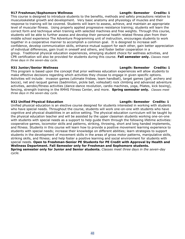### **917 Freshman/Sophomore Wellness Length: Semester Credits: 1**

This course is designed to introduce students to the benefits, methods and safety precautions relative to musculoskeletal growth and development. Very basic anatomy and physiology of muscles and their response to training will be covered. Students will learn to assess, achieve, and maintain an appropriate level of muscular fitness. Using properly applied progressive resistance training; students will learn the correct form and technique when training with selected machines and free weights. Through this course, students will be able to further assess and develop their personal health related fitness plan from their middle school experience The Adventure Programming unit of instruction, encourages students to work together in a cooperative manner to accomplish a common goal. It is designed to increase selfconfidence, develop communication skills, enhance mutual support for each other, gain better appreciation of individual differences, gain trust in oneself and others, and foster better cooperation in a group. Traditional physical education experiences, emerging student choice for wellness activities, and CPR certification will also be provided for students during this course. **Fall semester only.** *Classes meet three days in the seven-day cycle.* 

This program is based upon the concept that prior wellness education experiences will allow students to make effective decisions regarding which activities they choose to engage in given specific options. Activities will include: invasion games (ultimate frisbee, team handball), target games (golf, archery and bocce), net and racquet games (badminton, pickle ball, volleyball) rock climbing and advanced adventure activities, aerobic/fitness activities (dance-dance revolution, cardio machines, yoga, Pilates, kick boxing), fencing, strength training in the RMHS Fitness Center, and more. **Spring semester only.** *Classes meet three days in the seven-day cycle.* 

### **932 Unified Physical Education Length: Semester Credits: 1**

Unified physical education is an elective course designed for students interested in working with students who have special needs. Throughout the course, students will work one-on-one with students who have cognitive and physical disabilities in an active setting. The physical education curriculum will be taught by the physical education teacher and will be assisted by the upper classman students working one-on-one with students with special needs as a support to help guide them through the following lifetime activities: cooperative games, locomotor skills and patterns, striking, throwing, short and long handed implements, and fitness. Students in this course will learn how to provide a positive movement learning experience to students with special needs; increase their knowledge on different abilities; learn strategies to support students in the development of movement skills in the areas of gross motor patterns, manipulative skills, striking skills, and fitness; and help foster a positive learning and social environment for students with special needs. **Open to Freshman-Senior PE Students for PE Credit with Approval by Health and Wellness Department. Fall Semester only for Freshman and Sophomore students. Spring semester only for Junior and Senior students.** *Classes meet three days in the seven-day cycle.*

### **931 Junior/Senior Wellness Length: Semester Credits: 1**

48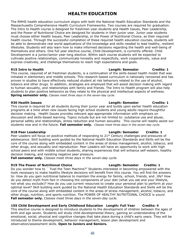## **HEALTH EDUCATION**

The RMHS health education curriculum aligns with both the National Health Education Standards and the Massachusetts Comprehensive Health Curriculum Frameworks. Two courses are required for graduation. The Intro to Health course is designed for freshmen year students and Health Issues, Peer Leadership, and the Power of Nutritional Choice are designed for students in their junior year. Junior year students must choose either Health Issues, Peer Leadership, or the Power of Nutritional Choice, as their required health course. Through the successful completion of these required health education courses, students will be able to demonstrate real world applications of the knowledge and skills needed to lead healthy, resilient lifestyles. Students will also learn how to make informed decisions regarding the health and well-being of themselves and others. One full year elective course, Child Development, is currently offered. Child Development is a junior/senior year-long elective. Within each course students will be expected to cultivate positive relationships, communicate honestly and respectfully, work cooperatively, value and express creatively, and challenge themselves to reach high expectations and goals.

This course, required of all freshman students, is a continuation of the skills-based health model that was initiated in elementary and middle schools. This research-based curriculum is nationally renowned and has proven in studies to have effectively reduced student at risk behaviors related to the use of alcohol, tobacco and other drugs. In addition, strategies are employed that will assist decision making with regard to human sexuality, and relationships with family and friends. The Intro to Health program will also help students to plan positive behaviors as they relate to the physical and intellectual aspects of wellness. **Spring semester only.** *Classes meet three days in the seven-day cycle.* 

## **930 Health Issues Length: Semester Credits: 1**

This course is required for all students during their junior year and builds upon earlier health education programs at a time when new issues facing high school students and young adults require thoughtful decision making. Health Issues provides relevant age-appropriate information with emphasis on discussion and skills-based learning. Topics include but are not limited to: substance use and abuse, personal safety and relationships, stress reduction and human sexuality. This course will readily assist our students now and in the future. **Fall semester only.** *Classes meet three days in the seven-day cycle.* 

## **918 Peer Leadership Length: Semester Credits: 1**

Peer Leaders will focus on positive methods of responding to 21<sup>st</sup> Century challenges and pressures of adolescence. Skill building work guided by the National Health Education Standards and Skills will be the core of the course along with embedded content in the areas of stress management, alcohol, tobacco, and other drugs, and sexuality and reproduction. Peer Leaders will have an opportunity to work with high school peers and with middle school students, sharing experiences that will enhance self-esteem, healthy decision making, and resisting negative peer pressure.

**Fall semester only.** *Classes meet three days in the seven-day cycle.*

## **919 The Power of Nutritional Choice Length: Semester Credits: 1**

Do you wonder how to ``Fuel the Teen Machine?" Students interested in becoming empowered with the tools necessary to make healthy lifestyle decisions will benefit from this course. You will find the answers to: How do you gain nutritional balance to maintain the energy for family, school, friends, and…life? How do you detect myth from fact in choosing the components of your diet (what you eat and your lifestyle, not what you exclude)? How do you use current resources to create your personal plan to perform at your optimal level? Skill building work guided by the National Health Education Standards and Skills will be the core of the course along with embedded content in the areas of stress management, alcohol, tobacco, and other drugs, nutrition, and sports nutrition. The POWER OF HEALTHY NUTRITIONAL CHOICE is yours! **Fall semester only.** *Classes meet three days in the seven-day cycle.*

## **155 Child Development and Early Childhood Education Length: Full Year Credits: 4**

This elective course is designed to introduce students to the development of children between the ages of birth and age seven. Students will study child developmental theory, gaining an understanding of the emotional, social, physical and cognitive changes that take place during a child's early years. They will be introduced to theme development, behavior management, lesson plan development and observation/assessment skills. **Open to Juniors and Seniors.**

## **915 Intro to Health Length: Semester Credits: 1**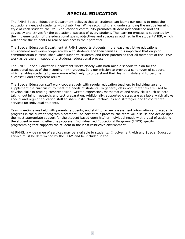## **SPECIAL EDUCATION**

The RMHS Special Education Department believes that all students can learn; our goal is to meet the educational needs of students with disabilities. While recognizing and understanding the unique learning style of each student, the RMHS educational community promotes student independence and selfadvocacy and strives for the educational success of every student. The learning process is supported by the implementation of the educational goals, objectives and strategies outlined in the students' IEP, which will enable the students to realize and access their potential.

The Special Education Department at RMHS supports students in the least restrictive educational environment and works cooperatively with students and their families. It is important that ongoing communication is established which supports students' and their parents so that all members of the TEAM work as partners in supporting students' educational process.

The RMHS Special Education Department works closely with both middle schools to plan for the transitional needs of the incoming ninth graders. It is our mission to provide a continuum of support, which enables students to learn more effectively, to understand their learning style and to become successful and competent adults.

The Special Education staff work cooperatively with regular education teachers to individualize and supplement the curriculum to meet the needs of students. In general, classroom materials are used to develop skills in reading comprehension, written expression, mathematics and study skills such as notetaking, outlining, research, and test preparation. Additionally, supported classes are available which allows special and regular education staff to share instructional techniques and strategies and to coordinate services for individual students.

Team meetings are held with parents, students, and staff to review assessment information and academic progress in the current program placement. As part of this process, the team will discuss and decide upon the most appropriate support for the student based upon his/her individual needs with a goal of assisting the student in making effective progress. Individualized Educational Programs (IEP'S) specify programming that supports the student in the least restrictive environment.

At RMHS, a wide range of services may be available to students. Involvement with any Special Education service must be determined by the TEAM and be included in the IEP.